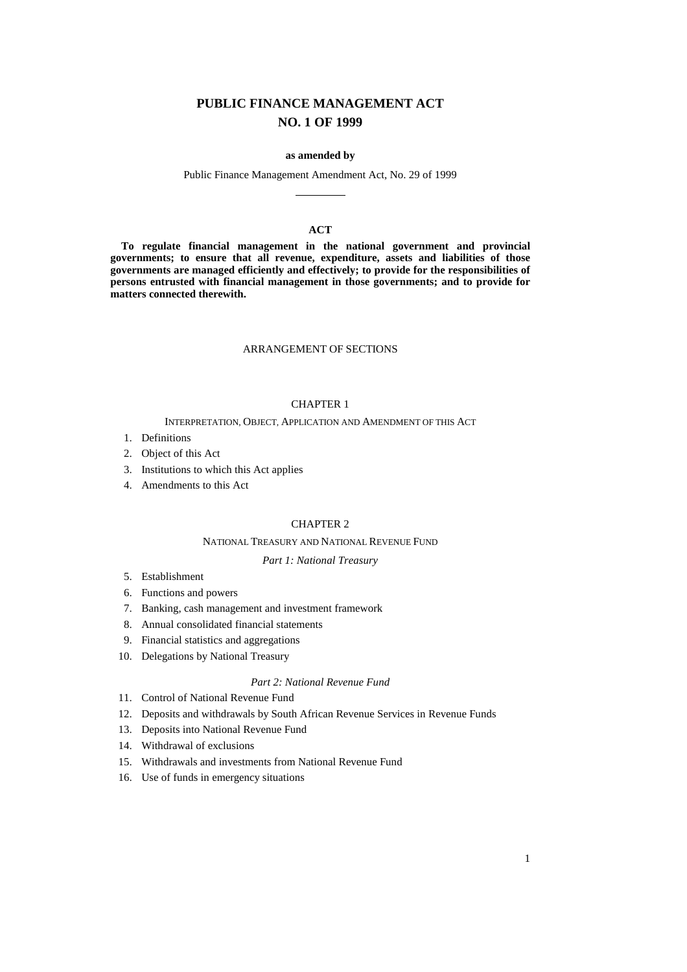# **PUBLIC FINANCE MANAGEMENT ACT NO. 1 OF 1999**

#### **as amended by**

Public Finance Management Amendment Act, No. 29 of 1999

#### **ACT**

**To regulate financial management in the national government and provincial governments; to ensure that all revenue, expenditure, assets and liabilities of those governments are managed efficiently and effectively; to provide for the responsibilities of persons entrusted with financial management in those governments; and to provide for matters connected therewith.**

## ARRANGEMENT OF SECTIONS

## CHAPTER 1

## INTERPRETATION, OBJECT, APPLICATION AND AMENDMENT OF THIS ACT

- 1. Definitions
- 2. Object of this Act
- 3. Institutions to which this Act applies
- 4. Amendments to this Act

## CHAPTER 2

## NATIONAL TREASURY AND NATIONAL REVENUE FUND

## *Part 1: National Treasury*

- 5. Establishment
- 6. Functions and powers
- 7. Banking, cash management and investment framework
- 8. Annual consolidated financial statements
- 9. Financial statistics and aggregations
- 10. Delegations by National Treasury

## *Part 2: National Revenue Fund*

- 11. Control of National Revenue Fund
- 12. Deposits and withdrawals by South African Revenue Services in Revenue Funds
- 13. Deposits into National Revenue Fund
- 14. Withdrawal of exclusions
- 15. Withdrawals and investments from National Revenue Fund
- 16. Use of funds in emergency situations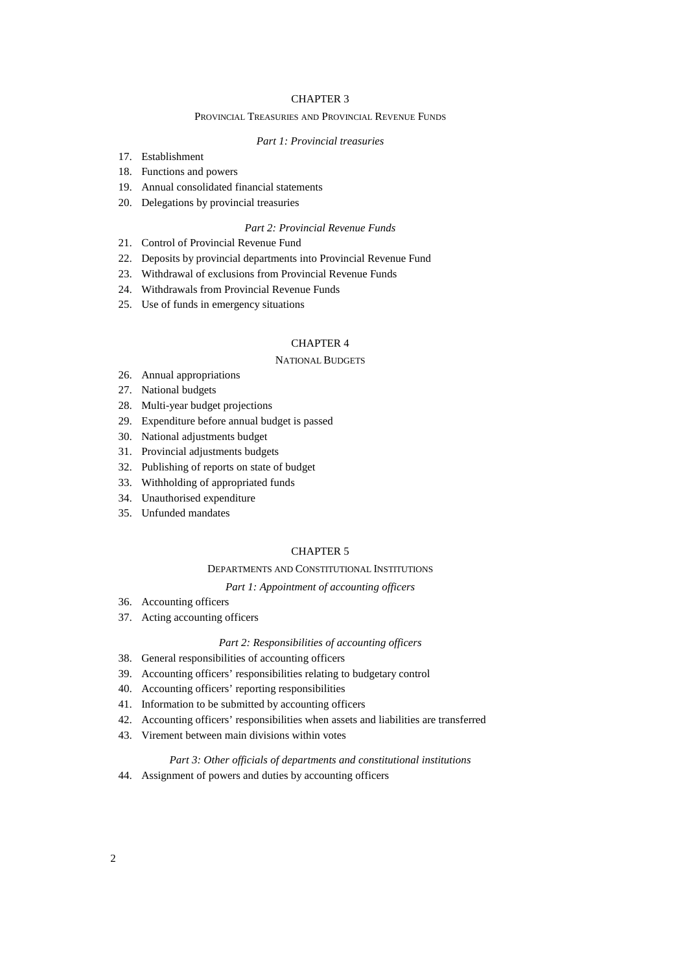## CHAPTER 3

## PROVINCIAL TREASURIES AND PROVINCIAL REVENUE FUNDS

## *Part 1: Provincial treasuries*

- 17. Establishment
- 18. Functions and powers
- 19. Annual consolidated financial statements
- 20. Delegations by provincial treasuries

## *Part 2: Provincial Revenue Funds*

- 21. Control of Provincial Revenue Fund
- 22. Deposits by provincial departments into Provincial Revenue Fund
- 23. Withdrawal of exclusions from Provincial Revenue Funds
- 24. Withdrawals from Provincial Revenue Funds
- 25. Use of funds in emergency situations

## CHAPTER 4

## NATIONAL BUDGETS

- 26. Annual appropriations
- 27. National budgets
- 28. Multi-year budget projections
- 29. Expenditure before annual budget is passed
- 30. National adjustments budget
- 31. Provincial adjustments budgets
- 32. Publishing of reports on state of budget
- 33. Withholding of appropriated funds
- 34. Unauthorised expenditure
- 35. Unfunded mandates

## CHAPTER 5

## DEPARTMENTS AND CONSTITUTIONAL INSTITUTIONS

## *Part 1: Appointment of accounting officers*

- 36. Accounting officers
- 37. Acting accounting officers

## *Part 2: Responsibilities of accounting officers*

- 38. General responsibilities of accounting officers
- 39. Accounting officers' responsibilities relating to budgetary control
- 40. Accounting officers' reporting responsibilities
- 41. Information to be submitted by accounting officers
- 42. Accounting officers' responsibilities when assets and liabilities are transferred
- 43. Virement between main divisions within votes

### *Part 3: Other officials of departments and constitutional institutions*

44. Assignment of powers and duties by accounting officers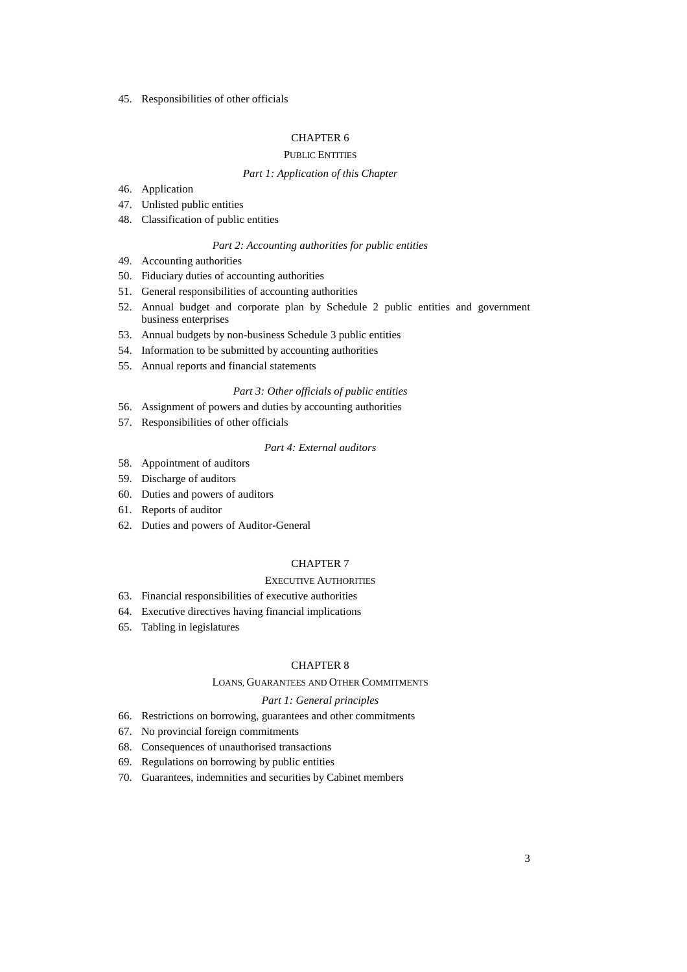45. Responsibilities of other officials

# CHAPTER 6

# PUBLIC ENTITIES

## *Part 1: Application of this Chapter*

- 46. Application
- 47. Unlisted public entities
- 48. Classification of public entities

#### *Part 2: Accounting authorities for public entities*

- 49. Accounting authorities
- 50. Fiduciary duties of accounting authorities
- 51. General responsibilities of accounting authorities
- 52. Annual budget and corporate plan by Schedule 2 public entities and government business enterprises
- 53. Annual budgets by non-business Schedule 3 public entities
- 54. Information to be submitted by accounting authorities
- 55. Annual reports and financial statements

## *Part 3: Other officials of public entities*

- 56. Assignment of powers and duties by accounting authorities
- 57. Responsibilities of other officials

## *Part 4: External auditors*

- 58. Appointment of auditors
- 59. Discharge of auditors
- 60. Duties and powers of auditors
- 61. Reports of auditor
- 62. Duties and powers of Auditor-General

## CHAPTER 7

## EXECUTIVE AUTHORITIES

- 63. Financial responsibilities of executive authorities
- 64. Executive directives having financial implications
- 65. Tabling in legislatures

## CHAPTER 8

#### LOANS, GUARANTEES AND OTHER COMMITMENTS

## *Part 1: General principles*

- 66. Restrictions on borrowing, guarantees and other commitments
- 67. No provincial foreign commitments
- 68. Consequences of unauthorised transactions
- 69. Regulations on borrowing by public entities
- 70. Guarantees, indemnities and securities by Cabinet members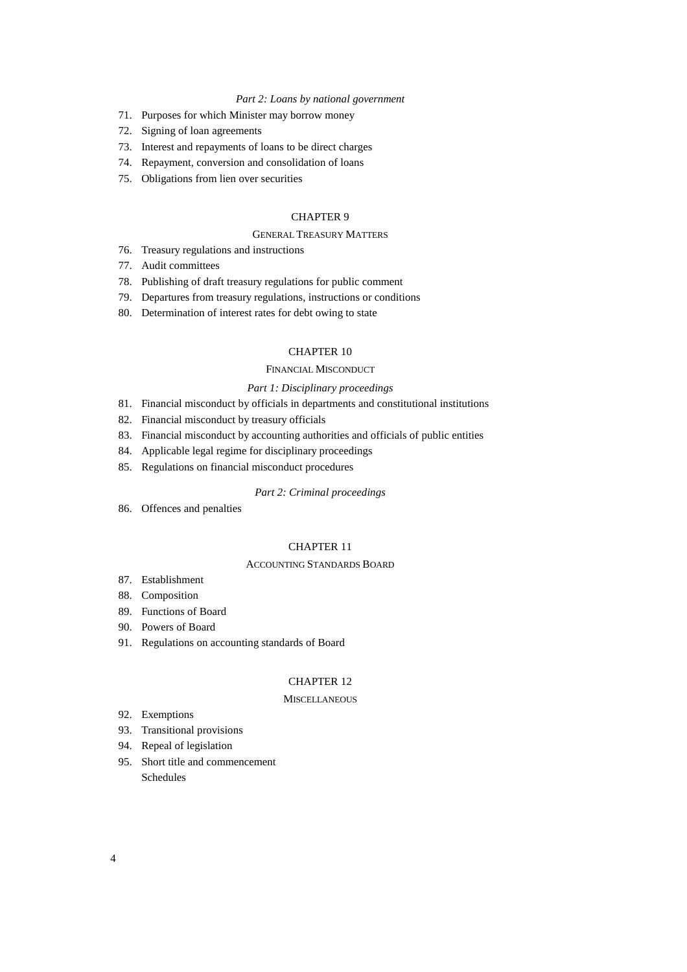#### *Part 2: Loans by national government*

- 71. Purposes for which Minister may borrow money
- 72. Signing of loan agreements
- 73. Interest and repayments of loans to be direct charges
- 74. Repayment, conversion and consolidation of loans
- 75. Obligations from lien over securities

#### CHAPTER 9

## GENERAL TREASURY MATTERS

- 76. Treasury regulations and instructions
- 77. Audit committees
- 78. Publishing of draft treasury regulations for public comment
- 79. Departures from treasury regulations, instructions or conditions
- 80. Determination of interest rates for debt owing to state

## CHAPTER 10

#### FINANCIAL MISCONDUCT

#### *Part 1: Disciplinary proceedings*

- 81. Financial misconduct by officials in departments and constitutional institutions
- 82. Financial misconduct by treasury officials
- 83. Financial misconduct by accounting authorities and officials of public entities
- 84. Applicable legal regime for disciplinary proceedings
- 85. Regulations on financial misconduct procedures

## *Part 2: Criminal proceedings*

86. Offences and penalties

## CHAPTER 11

## ACCOUNTING STANDARDS BOARD

- 87. Establishment
- 88. Composition
- 89. Functions of Board
- 90. Powers of Board
- 91. Regulations on accounting standards of Board

#### CHAPTER 12

#### **MISCELLANEOUS**

- 92. Exemptions
- 93. Transitional provisions
- 94. Repeal of legislation
- 95. Short title and commencement Schedules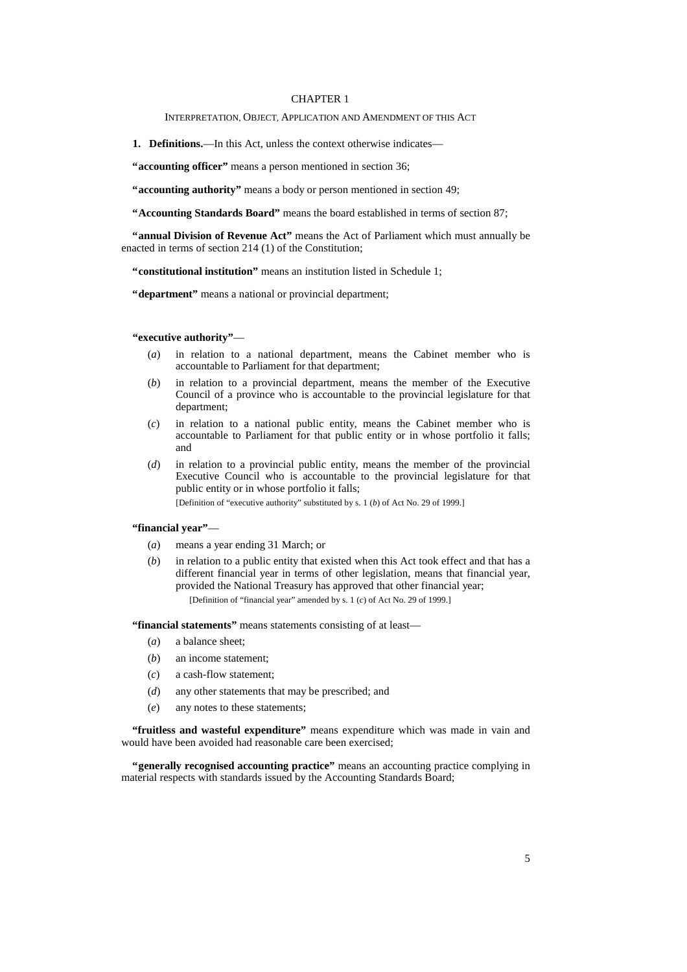### CHAPTER 1

#### INTERPRETATION, OBJECT, APPLICATION AND AMENDMENT OF THIS ACT

**1. Definitions.**— In this Act, unless the context otherwise indicates—

**"accounting officer"** means a person mentioned in section 36;

**"accounting authority"** means a body or person mentioned in section 49;

**"Accounting Standards Board"** means the board established in terms of section 87;

**"annual Division of Revenue Act"** means the Act of Parliament which must annually be enacted in terms of section 214 (1) of the Constitution;

**"constitutional institution"** means an institution listed in Schedule 1;

**"department"** means a national or provincial department;

**"executive authority"**—

- (*a*) in relation to a national department, means the Cabinet member who is accountable to Parliament for that department;
- (*b*) in relation to a provincial department, means the member of the Executive Council of a province who is accountable to the provincial legislature for that department;
- (*c*) in relation to a national public entity, means the Cabinet member who is accountable to Parliament for that public entity or in whose portfolio it falls; and
- (*d*) in relation to a provincial public entity, means the member of the provincial Executive Council who is accountable to the provincial legislature for that public entity or in whose portfolio it falls; [Definition of "executive authority" substituted by s. 1 (*b*) of Act No. 29 of 1999.]

## **"financial year"**—

- (*a*) means a year ending 31 March; or
- (*b*) in relation to a public entity that existed when this Act took effect and that has a different financial year in terms of other legislation, means that financial year, provided the National Treasury has approved that other financial year; [Definition of "financial year" amended by s. 1 (*c*) of Act No. 29 of 1999.]

**"financial statements"** means statements consisting of at least—

- (*a*) a balance sheet;
- (*b*) an income statement;
- (*c*) a cash-flow statement;
- (*d*) any other statements that may be prescribed; and
- (*e*) any notes to these statements;

**"fruitless and wasteful expenditure"** means expenditure which was made in vain and would have been avoided had reasonable care been exercised;

**"generally recognised accounting practice"** means an accounting practice complying in material respects with standards issued by the Accounting Standards Board;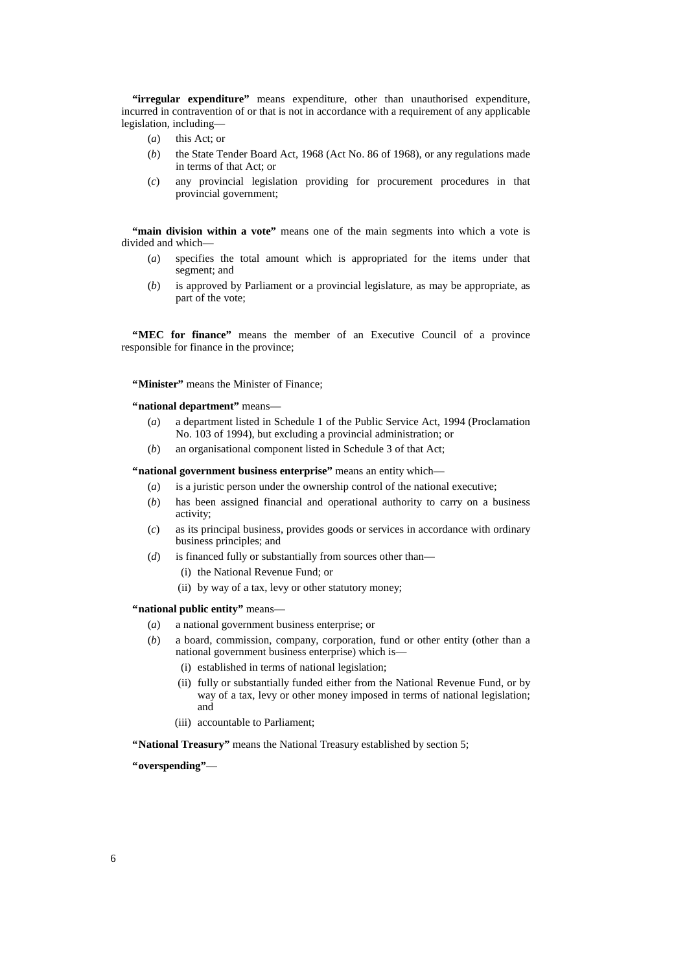**"irregular expenditure"** means expenditure, other than unauthorised expenditure, incurred in contravention of or that is not in accordance with a requirement of any applicable legislation, including—

- (*a*) this Act; or
- (*b*) the State Tender Board Act, 1968 (Act No. 86 of 1968), or any regulations made in terms of that Act; or
- (*c*) any provincial legislation providing for procurement procedures in that provincial government;

**"main division within a vote"** means one of the main segments into which a vote is divided and which—

- (*a*) specifies the total amount which is appropriated for the items under that segment; and
- (*b*) is approved by Parliament or a provincial legislature, as may be appropriate, as part of the vote;

**"MEC for finance"** means the member of an Executive Council of a province responsible for finance in the province;

**"Minister"** means the Minister of Finance;

**"national department"** means—

- (*a*) a department listed in Schedule 1 of the Public Service Act, 1994 (Proclamation No. 103 of 1994), but excluding a provincial administration; or
- (*b*) an organisational component listed in Schedule 3 of that Act;

**"national government business enterprise"** means an entity which—

- (*a*) is a juristic person under the ownership control of the national executive;
- (*b*) has been assigned financial and operational authority to carry on a business activity;
- (*c*) as its principal business, provides goods or services in accordance with ordinary business principles; and
- (*d*) is financed fully or substantially from sources other than—
	- (i) the National Revenue Fund; or
	- (ii) by way of a tax, levy or other statutory money;

**"national public entity"** means—

- (*a*) a national government business enterprise; or
- (*b*) a board, commission, company, corporation, fund or other entity (other than a national government business enterprise) which is—
	- (i) established in terms of national legislation;
	- (ii) fully or substantially funded either from the National Revenue Fund, or by way of a tax, levy or other money imposed in terms of national legislation; and
	- (iii) accountable to Parliament;

**"National Treasury"** means the National Treasury established by section 5;

**"overspending"**—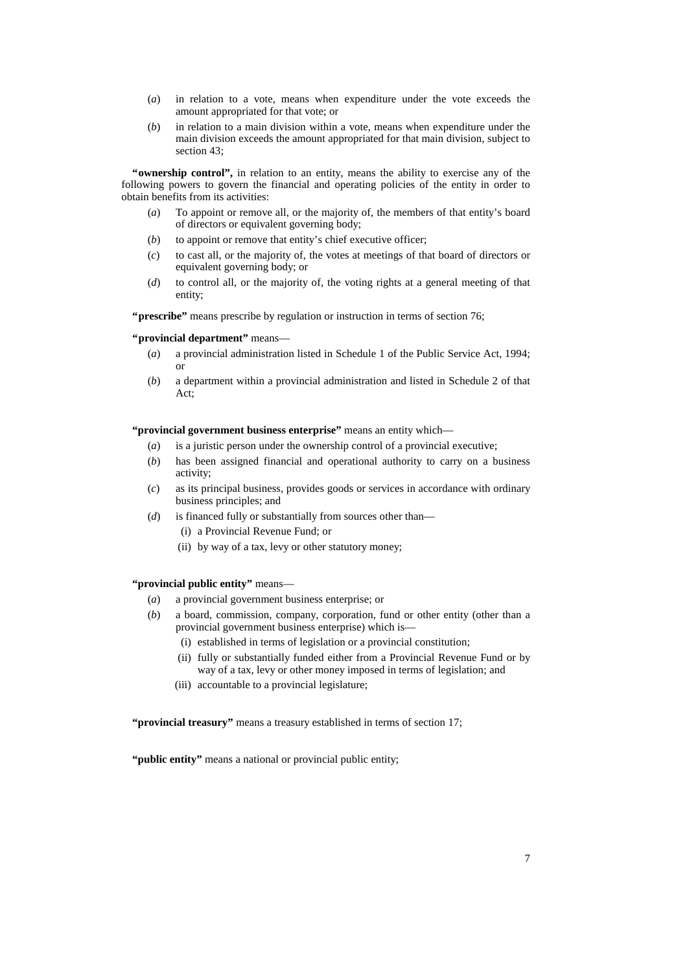- (*a*) in relation to a vote, means when expenditure under the vote exceeds the amount appropriated for that vote; or
- (*b*) in relation to a main division within a vote, means when expenditure under the main division exceeds the amount appropriated for that main division, subject to section 43;

"**ownership control"**, in relation to an entity, means the ability to exercise any of the following powers to govern the financial and operating policies of the entity in order to obtain benefits from its activities:

- (*a*) To appoint or remove all, or the majority of, the members of that entity's board of directors or equivalent governing body;
- (*b*) to appoint or remove that entity's chief executive officer;
- (*c*) to cast all, or the majority of, the votes at meetings of that board of directors or equivalent governing body; or
- (*d*) to control all, or the majority of, the voting rights at a general meeting of that entity;

**"prescribe"** means prescribe by regulation or instruction in terms of section 76;

## **"provincial department"** means—

- (*a*) a provincial administration listed in Schedule 1 of the Public Service Act, 1994; or
- (*b*) a department within a provincial administration and listed in Schedule 2 of that Act;

**"provincial government business enterprise"** means an entity which—

- (*a*) is a juristic person under the ownership control of a provincial executive;
- (*b*) has been assigned financial and operational authority to carry on a business activity;
- (*c*) as its principal business, provides goods or services in accordance with ordinary business principles; and
- (*d*) is financed fully or substantially from sources other than—
	- (i) a Provincial Revenue Fund; or
	- (ii) by way of a tax, levy or other statutory money;

# **"provincial public entity"** means—

- (*a*) a provincial government business enterprise; or
- (*b*) a board, commission, company, corporation, fund or other entity (other than a provincial government business enterprise) which is—
	- (i) established in terms of legislation or a provincial constitution;
	- (ii) fully or substantially funded either from a Provincial Revenue Fund or by way of a tax, levy or other money imposed in terms of legislation; and
	- (iii) accountable to a provincial legislature;

**"provincial treasury"** means a treasury established in terms of section 17;

"**public entity**" means a national or provincial public entity;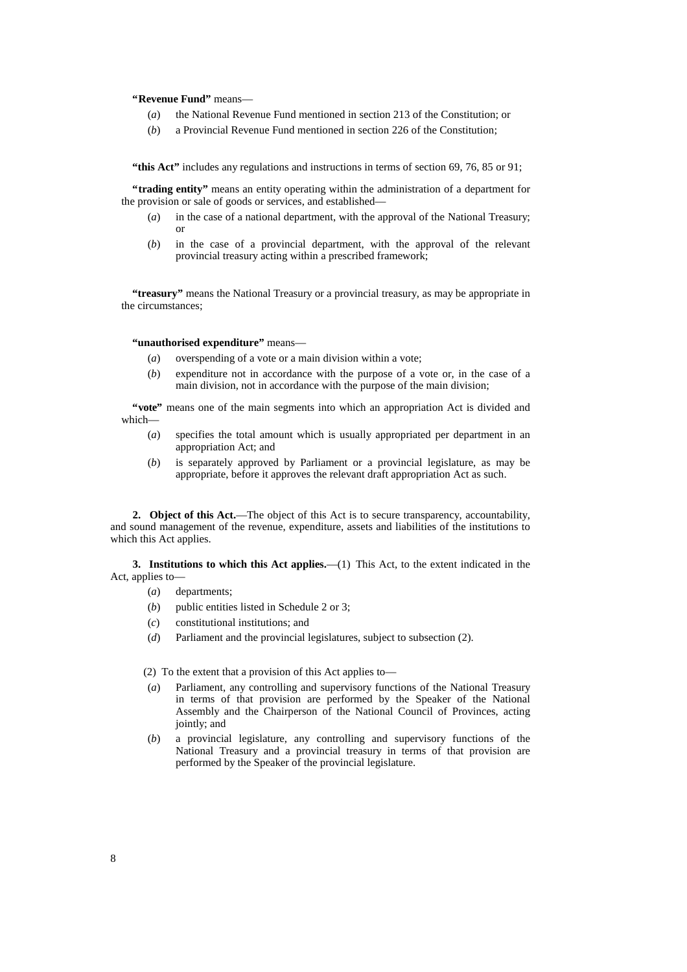## **"Revenue Fund"** means—

- (*a*) the National Revenue Fund mentioned in section 213 of the Constitution; or
- (*b*) a Provincial Revenue Fund mentioned in section 226 of the Constitution;

**"this Act"** includes any regulations and instructions in terms of section 69, 76, 85 or 91;

**"trading entity"** means an entity operating within the administration of a department for the provision or sale of goods or services, and established—

- (*a*) in the case of a national department, with the approval of the National Treasury; or
- (*b*) in the case of a provincial department, with the approval of the relevant provincial treasury acting within a prescribed framework;

**"treasury"** means the National Treasury or a provincial treasury, as may be appropriate in the circumstances;

## **"unauthorised expenditure"** means—

- (*a*) overspending of a vote or a main division within a vote;
- (*b*) expenditure not in accordance with the purpose of a vote or, in the case of a main division, not in accordance with the purpose of the main division;

"vote" means one of the main segments into which an appropriation Act is divided and which—

- (*a*) specifies the total amount which is usually appropriated per department in an appropriation Act; and
- (*b*) is separately approved by Parliament or a provincial legislature, as may be appropriate, before it approves the relevant draft appropriation Act as such.

**2. Object of this Act.**— The object of this Act is to secure transparency, accountability, and sound management of the revenue, expenditure, assets and liabilities of the institutions to which this Act applies.

**3.** Institutions to which this Act applies.—(1) This Act, to the extent indicated in the Act, applies to—

- (*a*) departments;
- (*b*) public entities listed in Schedule 2 or 3;
- (*c*) constitutional institutions; and
- (*d*) Parliament and the provincial legislatures, subject to subsection (2).

(2) To the extent that a provision of this Act applies to—

- (*a*) Parliament, any controlling and supervisory functions of the National Treasury in terms of that provision are performed by the Speaker of the National Assembly and the Chairperson of the National Council of Provinces, acting jointly; and
- (*b*) a provincial legislature, any controlling and supervisory functions of the National Treasury and a provincial treasury in terms of that provision are performed by the Speaker of the provincial legislature.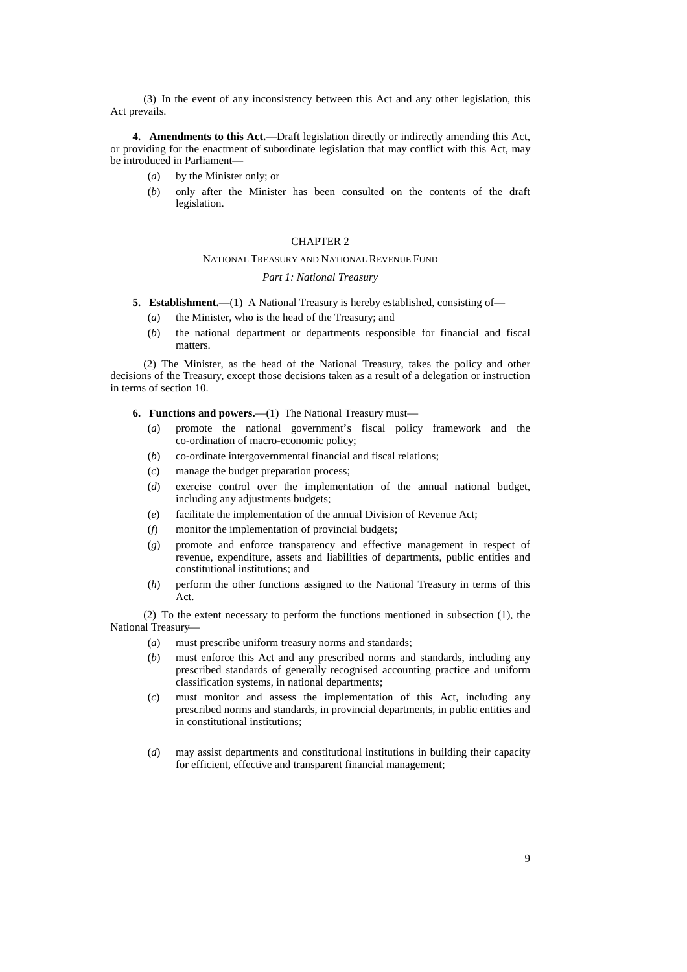(3) In the event of any inconsistency between this Act and any other legislation, this Act prevails.

**4. Amendments to this Act.**— Draft legislation directly or indirectly amending this Act, or providing for the enactment of subordinate legislation that may conflict with this Act, may be introduced in Parliament—

- (*a*) by the Minister only; or
- (*b*) only after the Minister has been consulted on the contents of the draft legislation.

#### CHAPTER 2

#### NATIONAL TREASURY AND NATIONAL REVENUE FUND

## *Part 1: National Treasury*

- **5. Establishment.**—(1) A National Treasury is hereby established, consisting of—
	- (*a*) the Minister, who is the head of the Treasury; and
	- (*b*) the national department or departments responsible for financial and fiscal matters.

(2) The Minister, as the head of the National Treasury, takes the policy and other decisions of the Treasury, except those decisions taken as a result of a delegation or instruction in terms of section 10.

- **6. Functions and powers.**—(1) The National Treasury must—
	- (*a*) promote the national government's fiscal policy framework and the co-ordination of macro-economic policy;
	- (*b*) co-ordinate intergovernmental financial and fiscal relations;
	- (*c*) manage the budget preparation process;
	- (*d*) exercise control over the implementation of the annual national budget, including any adjustments budgets;
	- (*e*) facilitate the implementation of the annual Division of Revenue Act;
	- (*f*) monitor the implementation of provincial budgets;
	- (*g*) promote and enforce transparency and effective management in respect of revenue, expenditure, assets and liabilities of departments, public entities and constitutional institutions; and
	- (*h*) perform the other functions assigned to the National Treasury in terms of this Act.

(2) To the extent necessary to perform the functions mentioned in subsection (1), the National Treasury—

- (*a*) must prescribe uniform treasury norms and standards;
- (*b*) must enforce this Act and any prescribed norms and standards, including any prescribed standards of generally recognised accounting practice and uniform classification systems, in national departments;
- (*c*) must monitor and assess the implementation of this Act, including any prescribed norms and standards, in provincial departments, in public entities and in constitutional institutions;
- (*d*) may assist departments and constitutional institutions in building their capacity for efficient, effective and transparent financial management;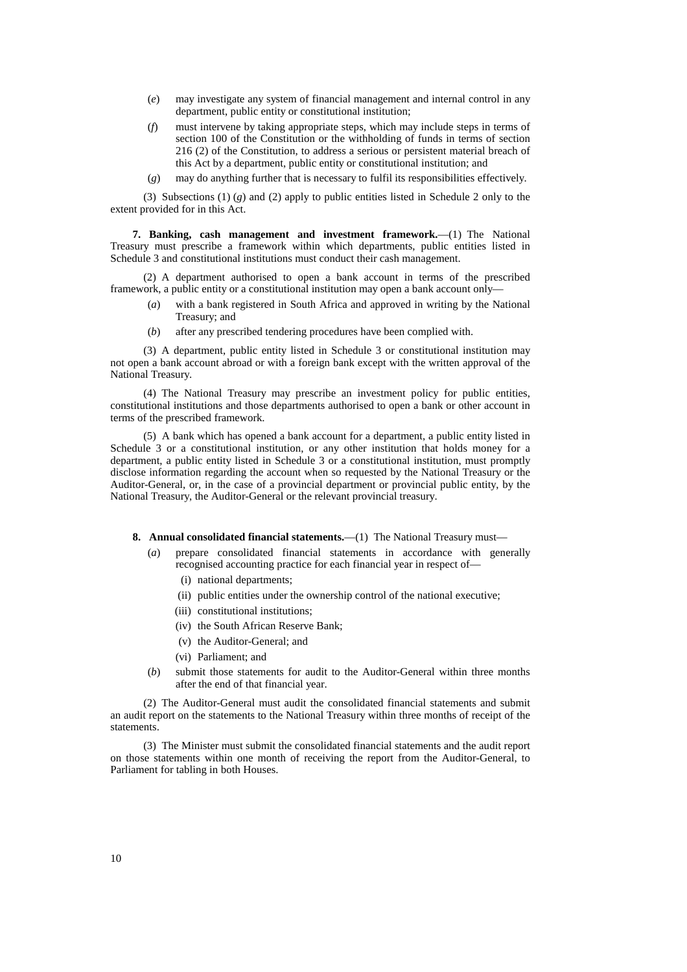- (*e*) may investigate any system of financial management and internal control in any department, public entity or constitutional institution;
- (*f*) must intervene by taking appropriate steps, which may include steps in terms of section 100 of the Constitution or the withholding of funds in terms of section 216 (2) of the Constitution, to address a serious or persistent material breach of this Act by a department, public entity or constitutional institution; and
- (*g*) may do anything further that is necessary to fulfil its responsibilities effectively.

(3) Subsections (1) (*g*) and (2) apply to public entities listed in Schedule 2 only to the extent provided for in this Act.

**7. Banking, cash management and investment framework.**—(1) The National Treasury must prescribe a framework within which departments, public entities listed in Schedule 3 and constitutional institutions must conduct their cash management.

(2) A department authorised to open a bank account in terms of the prescribed framework, a public entity or a constitutional institution may open a bank account only—

- (*a*) with a bank registered in South Africa and approved in writing by the National Treasury; and
- (*b*) after any prescribed tendering procedures have been complied with.

(3) A department, public entity listed in Schedule 3 or constitutional institution may not open a bank account abroad or with a foreign bank except with the written approval of the National Treasury.

(4) The National Treasury may prescribe an investment policy for public entities, constitutional institutions and those departments authorised to open a bank or other account in terms of the prescribed framework.

(5) A bank which has opened a bank account for a department, a public entity listed in Schedule 3 or a constitutional institution, or any other institution that holds money for a department, a public entity listed in Schedule 3 or a constitutional institution, must promptly disclose information regarding the account when so requested by the National Treasury or the Auditor-General, or, in the case of a provincial department or provincial public entity, by the National Treasury, the Auditor-General or the relevant provincial treasury.

#### **8. Annual consolidated financial statements.**—(1) The National Treasury must—

- (*a*) prepare consolidated financial statements in accordance with generally recognised accounting practice for each financial year in respect of—
	- (i) national departments;
	- (ii) public entities under the ownership control of the national executive;
	- (iii) constitutional institutions;
	- (iv) the South African Reserve Bank;
	- (v) the Auditor-General; and
	- (vi) Parliament; and
- (*b*) submit those statements for audit to the Auditor-General within three months after the end of that financial year.

(2) The Auditor-General must audit the consolidated financial statements and submit an audit report on the statements to the National Treasury within three months of receipt of the statements.

(3) The Minister must submit the consolidated financial statements and the audit report on those statements within one month of receiving the report from the Auditor-General, to Parliament for tabling in both Houses.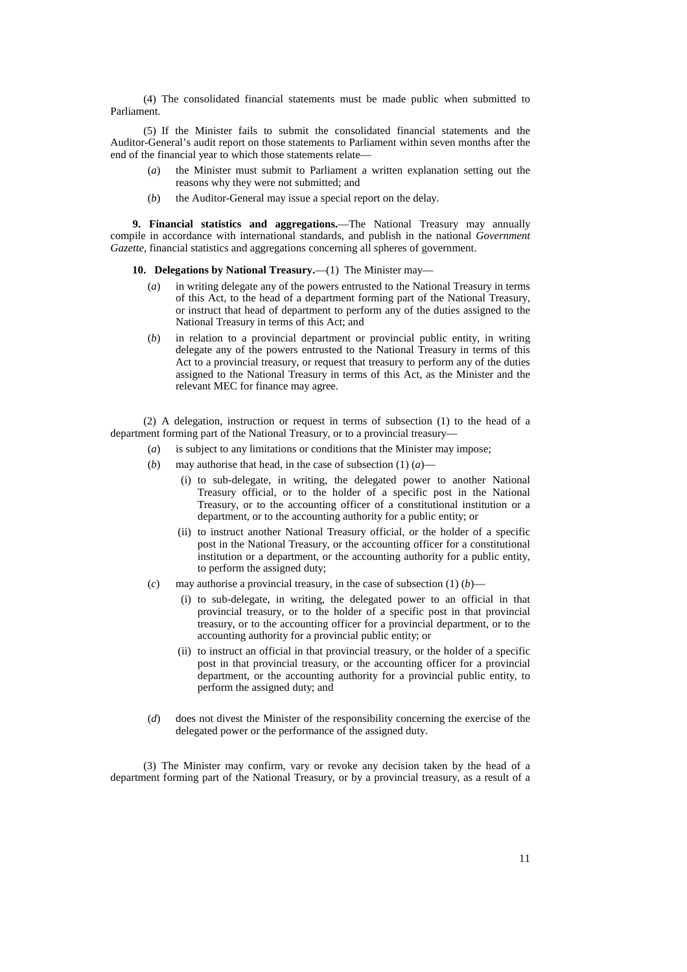(4) The consolidated financial statements must be made public when submitted to Parliament.

(5) If the Minister fails to submit the consolidated financial statements and the Auditor-General's audit report on those statements to Parliament within seven months after the end of the financial year to which those statements relate—

- (*a*) the Minister must submit to Parliament a written explanation setting out the reasons why they were not submitted; and
- (*b*) the Auditor-General may issue a special report on the delay.

**9. Financial statistics and aggregations.**— The National Treasury may annually compile in accordance with international standards, and publish in the national *Government Gazette*, financial statistics and aggregations concerning all spheres of government.

**10. Delegations by National Treasury.**—(1) The Minister may—

- (*a*) in writing delegate any of the powers entrusted to the National Treasury in terms of this Act, to the head of a department forming part of the National Treasury, or instruct that head of department to perform any of the duties assigned to the National Treasury in terms of this Act; and
- (*b*) in relation to a provincial department or provincial public entity, in writing delegate any of the powers entrusted to the National Treasury in terms of this Act to a provincial treasury, or request that treasury to perform any of the duties assigned to the National Treasury in terms of this Act, as the Minister and the relevant MEC for finance may agree.

(2) A delegation, instruction or request in terms of subsection (1) to the head of a department forming part of the National Treasury, or to a provincial treasury—

- (*a*) is subject to any limitations or conditions that the Minister may impose;
- (*b*) may authorise that head, in the case of subsection  $(1)$   $(a)$ 
	- (i) to sub-delegate, in writing, the delegated power to another National Treasury official, or to the holder of a specific post in the National Treasury, or to the accounting officer of a constitutional institution or a department, or to the accounting authority for a public entity; or
	- (ii) to instruct another National Treasury official, or the holder of a specific post in the National Treasury, or the accounting officer for a constitutional institution or a department, or the accounting authority for a public entity, to perform the assigned duty;
- (*c*) may authorise a provincial treasury, in the case of subsection (1) (*b*)—
	- (i) to sub-delegate, in writing, the delegated power to an official in that provincial treasury, or to the holder of a specific post in that provincial treasury, or to the accounting officer for a provincial department, or to the accounting authority for a provincial public entity; or
	- (ii) to instruct an official in that provincial treasury, or the holder of a specific post in that provincial treasury, or the accounting officer for a provincial department, or the accounting authority for a provincial public entity, to perform the assigned duty; and
- (*d*) does not divest the Minister of the responsibility concerning the exercise of the delegated power or the performance of the assigned duty.

(3) The Minister may confirm, vary or revoke any decision taken by the head of a department forming part of the National Treasury, or by a provincial treasury, as a result of a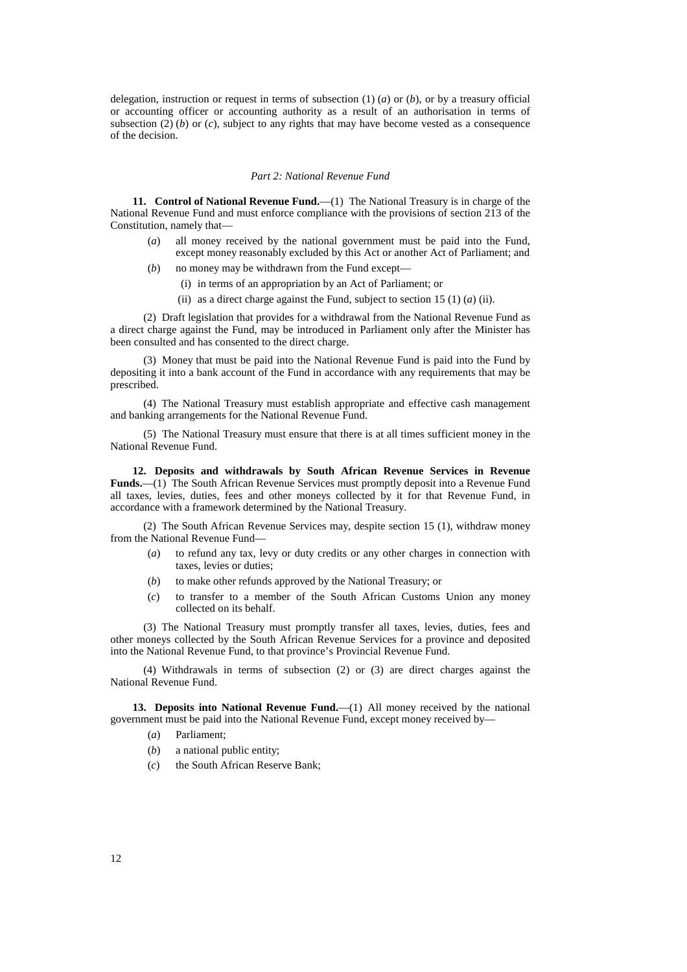delegation, instruction or request in terms of subsection (1) (*a*) or (*b*), or by a treasury official or accounting officer or accounting authority as a result of an authorisation in terms of subsection (2) (*b*) or (*c*), subject to any rights that may have become vested as a consequence of the decision.

#### *Part 2: National Revenue Fund*

**11. Control of National Revenue Fund.**—(1) The National Treasury is in charge of the National Revenue Fund and must enforce compliance with the provisions of section 213 of the Constitution, namely that—

- (*a*) all money received by the national government must be paid into the Fund, except money reasonably excluded by this Act or another Act of Parliament; and
- (*b*) no money may be withdrawn from the Fund except—
	- (i) in terms of an appropriation by an Act of Parliament; or
	- (ii) as a direct charge against the Fund, subject to section 15 (1) (*a*) (ii).

(2) Draft legislation that provides for a withdrawal from the National Revenue Fund as a direct charge against the Fund, may be introduced in Parliament only after the Minister has been consulted and has consented to the direct charge.

(3) Money that must be paid into the National Revenue Fund is paid into the Fund by depositing it into a bank account of the Fund in accordance with any requirements that may be prescribed.

(4) The National Treasury must establish appropriate and effective cash management and banking arrangements for the National Revenue Fund.

(5) The National Treasury must ensure that there is at all times sufficient money in the National Revenue Fund.

**12. Deposits and withdrawals by South African Revenue Services in Revenue** Funds.—(1) The South African Revenue Services must promptly deposit into a Revenue Fund all taxes, levies, duties, fees and other moneys collected by it for that Revenue Fund, in accordance with a framework determined by the National Treasury.

(2) The South African Revenue Services may, despite section 15 (1), withdraw money from the National Revenue Fund—

- (*a*) to refund any tax, levy or duty credits or any other charges in connection with taxes, levies or duties;
- (*b*) to make other refunds approved by the National Treasury; or
- (*c*) to transfer to a member of the South African Customs Union any money collected on its behalf.

(3) The National Treasury must promptly transfer all taxes, levies, duties, fees and other moneys collected by the South African Revenue Services for a province and deposited into the National Revenue Fund, to that province's Provincial Revenue Fund.

(4) Withdrawals in terms of subsection (2) or (3) are direct charges against the National Revenue Fund.

**13. Deposits into National Revenue Fund.**—(1) All money received by the national government must be paid into the National Revenue Fund, except money received by—

- (*a*) Parliament;
- (*b*) a national public entity;
- (*c*) the South African Reserve Bank;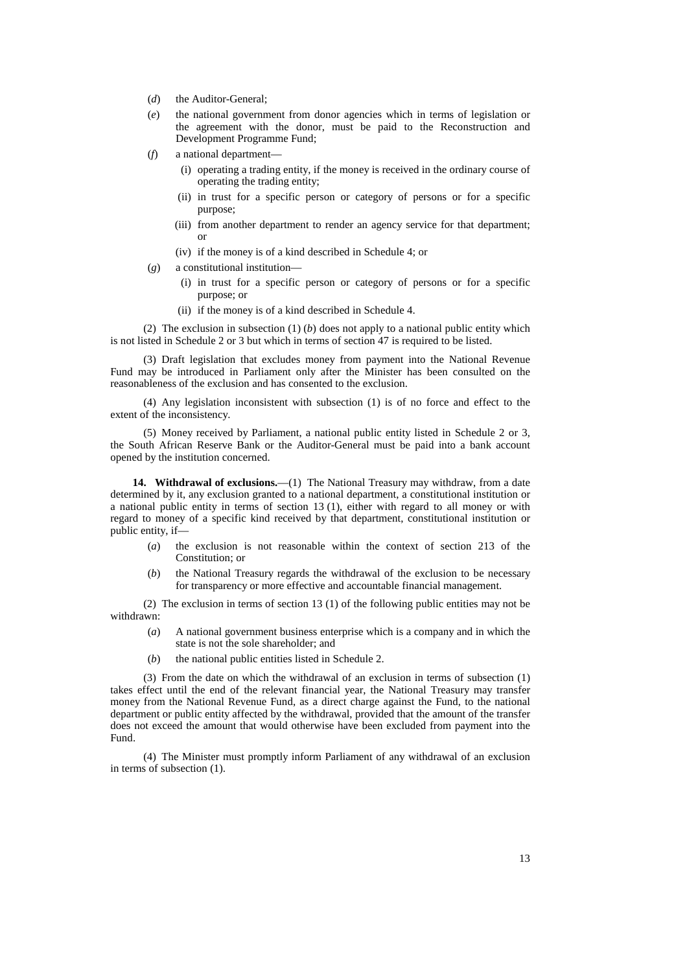- (*d*) the Auditor-General;
- (*e*) the national government from donor agencies which in terms of legislation or the agreement with the donor, must be paid to the Reconstruction and Development Programme Fund;
- (*f*) a national department—
	- (i) operating a trading entity, if the money is received in the ordinary course of operating the trading entity;
	- (ii) in trust for a specific person or category of persons or for a specific purpose;
	- (iii) from another department to render an agency service for that department; or
	- (iv) if the money is of a kind described in Schedule 4; or
- (*g*) a constitutional institution—
	- (i) in trust for a specific person or category of persons or for a specific purpose; or
	- (ii) if the money is of a kind described in Schedule 4.

(2) The exclusion in subsection (1) (*b*) does not apply to a national public entity which is not listed in Schedule 2 or 3 but which in terms of section 47 is required to be listed.

(3) Draft legislation that excludes money from payment into the National Revenue Fund may be introduced in Parliament only after the Minister has been consulted on the reasonableness of the exclusion and has consented to the exclusion.

(4) Any legislation inconsistent with subsection (1) is of no force and effect to the extent of the inconsistency.

(5) Money received by Parliament, a national public entity listed in Schedule 2 or 3, the South African Reserve Bank or the Auditor-General must be paid into a bank account opened by the institution concerned.

**14. Withdrawal of exclusions.**—(1) The National Treasury may withdraw, from a date determined by it, any exclusion granted to a national department, a constitutional institution or a national public entity in terms of section 13 (1), either with regard to all money or with regard to money of a specific kind received by that department, constitutional institution or public entity, if—

- (*a*) the exclusion is not reasonable within the context of section 213 of the Constitution; or
- (*b*) the National Treasury regards the withdrawal of the exclusion to be necessary for transparency or more effective and accountable financial management.

(2) The exclusion in terms of section 13 (1) of the following public entities may not be withdrawn:

- (*a*) A national government business enterprise which is a company and in which the state is not the sole shareholder; and
- (*b*) the national public entities listed in Schedule 2.

(3) From the date on which the withdrawal of an exclusion in terms of subsection (1) takes effect until the end of the relevant financial year, the National Treasury may transfer money from the National Revenue Fund, as a direct charge against the Fund, to the national department or public entity affected by the withdrawal, provided that the amount of the transfer does not exceed the amount that would otherwise have been excluded from payment into the Fund.

(4) The Minister must promptly inform Parliament of any withdrawal of an exclusion in terms of subsection (1).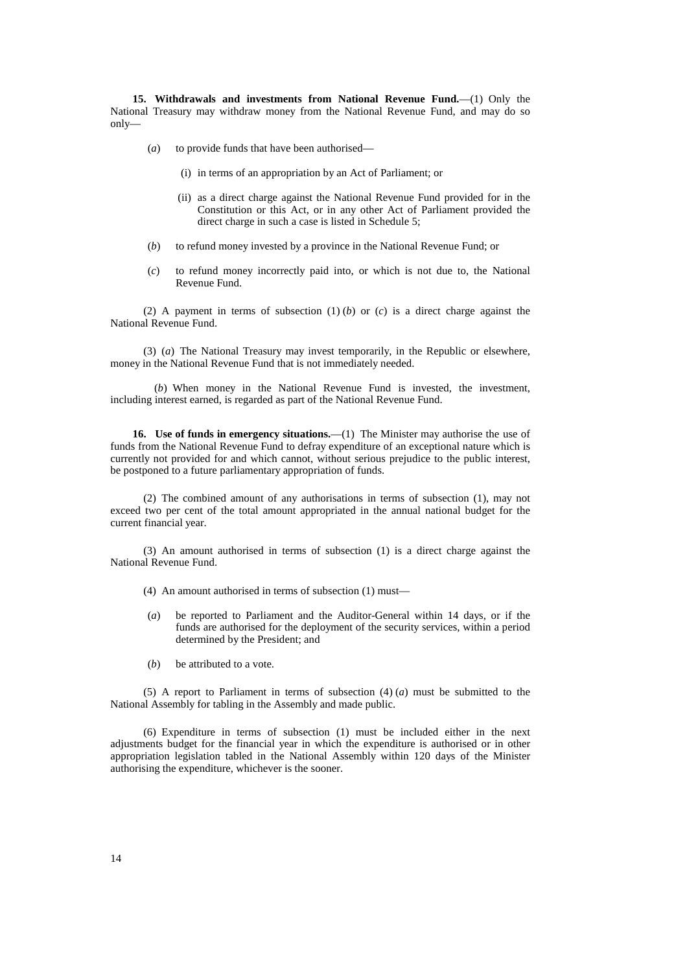15. Withdrawals and investments from National Revenue Fund.—(1) Only the National Treasury may withdraw money from the National Revenue Fund, and may do so only—

- (*a*) to provide funds that have been authorised—
	- (i) in terms of an appropriation by an Act of Parliament; or
	- (ii) as a direct charge against the National Revenue Fund provided for in the Constitution or this Act, or in any other Act of Parliament provided the direct charge in such a case is listed in Schedule 5;
- (*b*) to refund money invested by a province in the National Revenue Fund; or
- (*c*) to refund money incorrectly paid into, or which is not due to, the National Revenue Fund.

(2) A payment in terms of subsection (1) (*b*) or (*c*) is a direct charge against the National Revenue Fund.

(3) (*a*) The National Treasury may invest temporarily, in the Republic or elsewhere, money in the National Revenue Fund that is not immediately needed.

(*b*) When money in the National Revenue Fund is invested, the investment, including interest earned, is regarded as part of the National Revenue Fund.

**16.** Use of funds in emergency situations.—(1) The Minister may authorise the use of funds from the National Revenue Fund to defray expenditure of an exceptional nature which is currently not provided for and which cannot, without serious prejudice to the public interest, be postponed to a future parliamentary appropriation of funds.

(2) The combined amount of any authorisations in terms of subsection (1), may not exceed two per cent of the total amount appropriated in the annual national budget for the current financial year.

(3) An amount authorised in terms of subsection (1) is a direct charge against the National Revenue Fund.

- (4) An amount authorised in terms of subsection (1) must—
- be reported to Parliament and the Auditor-General within 14 days, or if the funds are authorised for the deployment of the security services, within a period determined by the President; and
- (*b*) be attributed to a vote.

(5) A report to Parliament in terms of subsection (4) (*a*) must be submitted to the National Assembly for tabling in the Assembly and made public.

(6) Expenditure in terms of subsection (1) must be included either in the next adjustments budget for the financial year in which the expenditure is authorised or in other appropriation legislation tabled in the National Assembly within 120 days of the Minister authorising the expenditure, whichever is the sooner.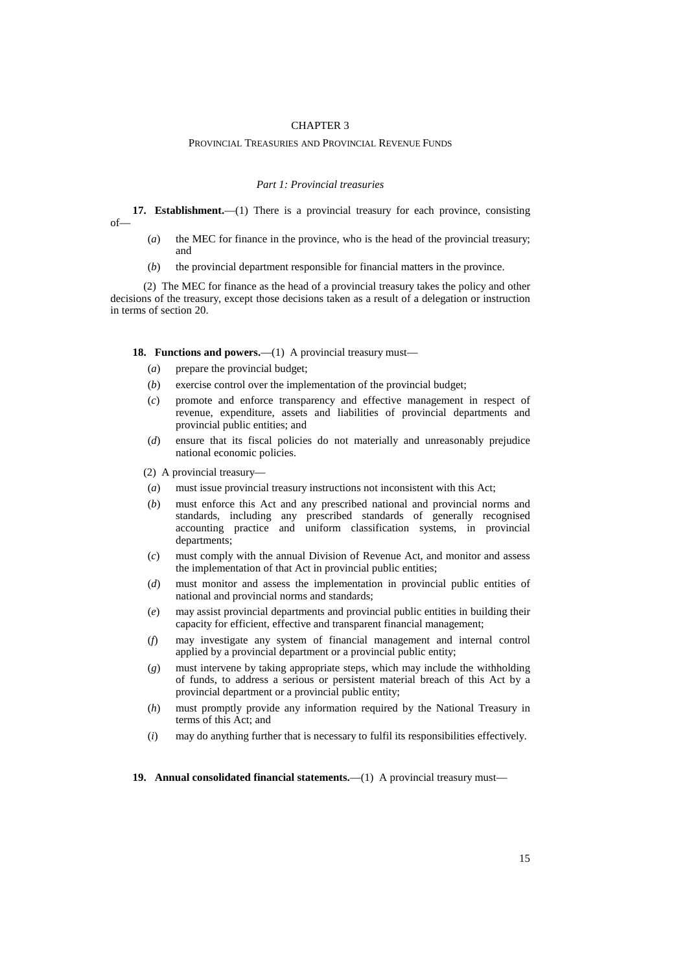## CHAPTER 3

#### PROVINCIAL TREASURIES AND PROVINCIAL REVENUE FUNDS

#### *Part 1: Provincial treasuries*

**17. Establishment.**—(1) There is a provincial treasury for each province, consisting of—

- (*a*) the MEC for finance in the province, who is the head of the provincial treasury; and
- (*b*) the provincial department responsible for financial matters in the province.

(2) The MEC for finance as the head of a provincial treasury takes the policy and other decisions of the treasury, except those decisions taken as a result of a delegation or instruction in terms of section 20.

**18. Functions and powers.**—(1) A provincial treasury must—

- (*a*) prepare the provincial budget;
- (*b*) exercise control over the implementation of the provincial budget;
- (*c*) promote and enforce transparency and effective management in respect of revenue, expenditure, assets and liabilities of provincial departments and provincial public entities; and
- (*d*) ensure that its fiscal policies do not materially and unreasonably prejudice national economic policies.
- (2) A provincial treasury—
- (*a*) must issue provincial treasury instructions not inconsistent with this Act;
- (*b*) must enforce this Act and any prescribed national and provincial norms and standards, including any prescribed standards of generally recognised accounting practice and uniform classification systems, in provincial departments;
- (*c*) must comply with the annual Division of Revenue Act, and monitor and assess the implementation of that Act in provincial public entities;
- (*d*) must monitor and assess the implementation in provincial public entities of national and provincial norms and standards;
- (*e*) may assist provincial departments and provincial public entities in building their capacity for efficient, effective and transparent financial management;
- (*f*) may investigate any system of financial management and internal control applied by a provincial department or a provincial public entity;
- (*g*) must intervene by taking appropriate steps, which may include the withholding of funds, to address a serious or persistent material breach of this Act by a provincial department or a provincial public entity;
- (*h*) must promptly provide any information required by the National Treasury in terms of this Act; and
- (*i*) may do anything further that is necessary to fulfil its responsibilities effectively.

**19. Annual consolidated financial statements.**—(1) A provincial treasury must—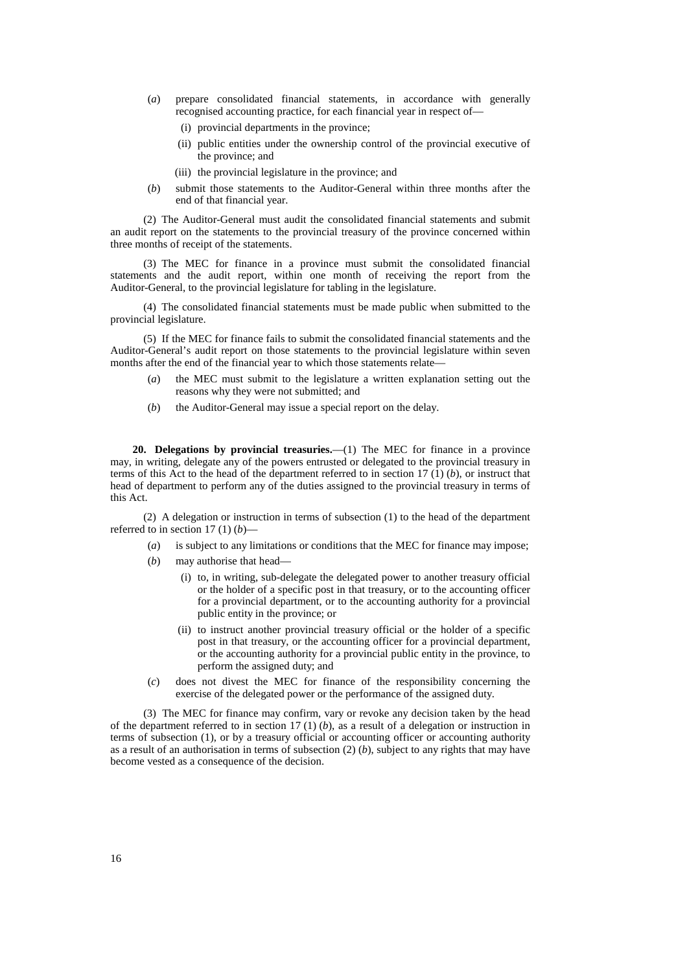- (*a*) prepare consolidated financial statements, in accordance with generally recognised accounting practice, for each financial year in respect of—
	- (i) provincial departments in the province;
	- (ii) public entities under the ownership control of the provincial executive of the province; and
	- (iii) the provincial legislature in the province; and
- (*b*) submit those statements to the Auditor-General within three months after the end of that financial year.

(2) The Auditor-General must audit the consolidated financial statements and submit an audit report on the statements to the provincial treasury of the province concerned within three months of receipt of the statements.

(3) The MEC for finance in a province must submit the consolidated financial statements and the audit report, within one month of receiving the report from the Auditor-General, to the provincial legislature for tabling in the legislature.

(4) The consolidated financial statements must be made public when submitted to the provincial legislature.

(5) If the MEC for finance fails to submit the consolidated financial statements and the Auditor-General's audit report on those statements to the provincial legislature within seven months after the end of the financial year to which those statements relate-

- (*a*) the MEC must submit to the legislature a written explanation setting out the reasons why they were not submitted; and
- (*b*) the Auditor-General may issue a special report on the delay.

**20. Delegations by provincial treasuries.**—(1) The MEC for finance in a province may, in writing, delegate any of the powers entrusted or delegated to the provincial treasury in terms of this Act to the head of the department referred to in section  $17 \overline{1}$  (*b*), or instruct that head of department to perform any of the duties assigned to the provincial treasury in terms of this Act.

(2) A delegation or instruction in terms of subsection (1) to the head of the department referred to in section 17 (1) (*b*)—

- (*a*) is subject to any limitations or conditions that the MEC for finance may impose;
- (*b*) may authorise that head—
	- (i) to, in writing, sub-delegate the delegated power to another treasury official or the holder of a specific post in that treasury, or to the accounting officer for a provincial department, or to the accounting authority for a provincial public entity in the province; or
	- (ii) to instruct another provincial treasury official or the holder of a specific post in that treasury, or the accounting officer for a provincial department, or the accounting authority for a provincial public entity in the province, to perform the assigned duty; and
- (*c*) does not divest the MEC for finance of the responsibility concerning the exercise of the delegated power or the performance of the assigned duty.

(3) The MEC for finance may confirm, vary or revoke any decision taken by the head of the department referred to in section  $17 (1) (b)$ , as a result of a delegation or instruction in terms of subsection (1), or by a treasury official or accounting officer or accounting authority as a result of an authorisation in terms of subsection (2) (*b*), subject to any rights that may have become vested as a consequence of the decision.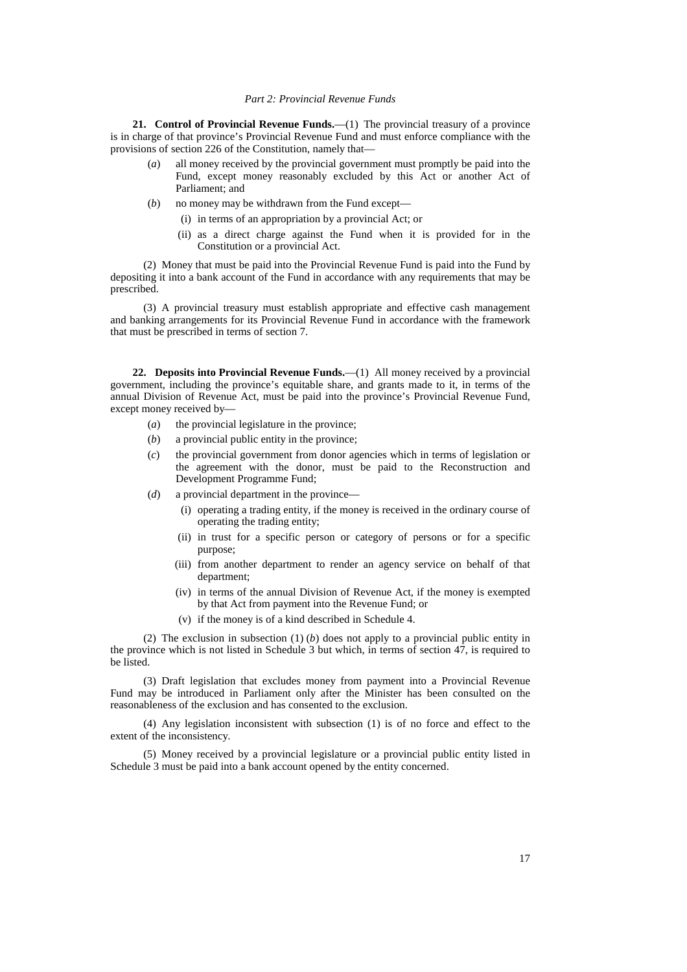#### *Part 2: Provincial Revenue Funds*

**21. Control of Provincial Revenue Funds.** (1) The provincial treasury of a province is in charge of that province's Provincial Revenue Fund and must enforce compliance with the provisions of section 226 of the Constitution, namely that—

- (*a*) all money received by the provincial government must promptly be paid into the Fund, except money reasonably excluded by this Act or another Act of Parliament; and
- (*b*) no money may be withdrawn from the Fund except—
	- (i) in terms of an appropriation by a provincial Act; or
	- (ii) as a direct charge against the Fund when it is provided for in the Constitution or a provincial Act.

(2) Money that must be paid into the Provincial Revenue Fund is paid into the Fund by depositing it into a bank account of the Fund in accordance with any requirements that may be prescribed.

(3) A provincial treasury must establish appropriate and effective cash management and banking arrangements for its Provincial Revenue Fund in accordance with the framework that must be prescribed in terms of section 7.

**22. Deposits into Provincial Revenue Funds.** (1) All money received by a provincial government, including the province's equitable share, and grants made to it, in terms of the annual Division of Revenue Act, must be paid into the province's Provincial Revenue Fund, except money received by—

- (*a*) the provincial legislature in the province;
- (*b*) a provincial public entity in the province;
- (*c*) the provincial government from donor agencies which in terms of legislation or the agreement with the donor, must be paid to the Reconstruction and Development Programme Fund;
- (*d*) a provincial department in the province—
	- (i) operating a trading entity, if the money is received in the ordinary course of operating the trading entity;
	- (ii) in trust for a specific person or category of persons or for a specific purpose;
	- (iii) from another department to render an agency service on behalf of that department;
	- (iv) in terms of the annual Division of Revenue Act, if the money is exempted by that Act from payment into the Revenue Fund; or
	- (v) if the money is of a kind described in Schedule 4.

(2) The exclusion in subsection (1) (*b*) does not apply to a provincial public entity in the province which is not listed in Schedule 3 but which, in terms of section  $47$ , is required to be listed.

(3) Draft legislation that excludes money from payment into a Provincial Revenue Fund may be introduced in Parliament only after the Minister has been consulted on the reasonableness of the exclusion and has consented to the exclusion.

(4) Any legislation inconsistent with subsection (1) is of no force and effect to the extent of the inconsistency.

(5) Money received by a provincial legislature or a provincial public entity listed in Schedule 3 must be paid into a bank account opened by the entity concerned.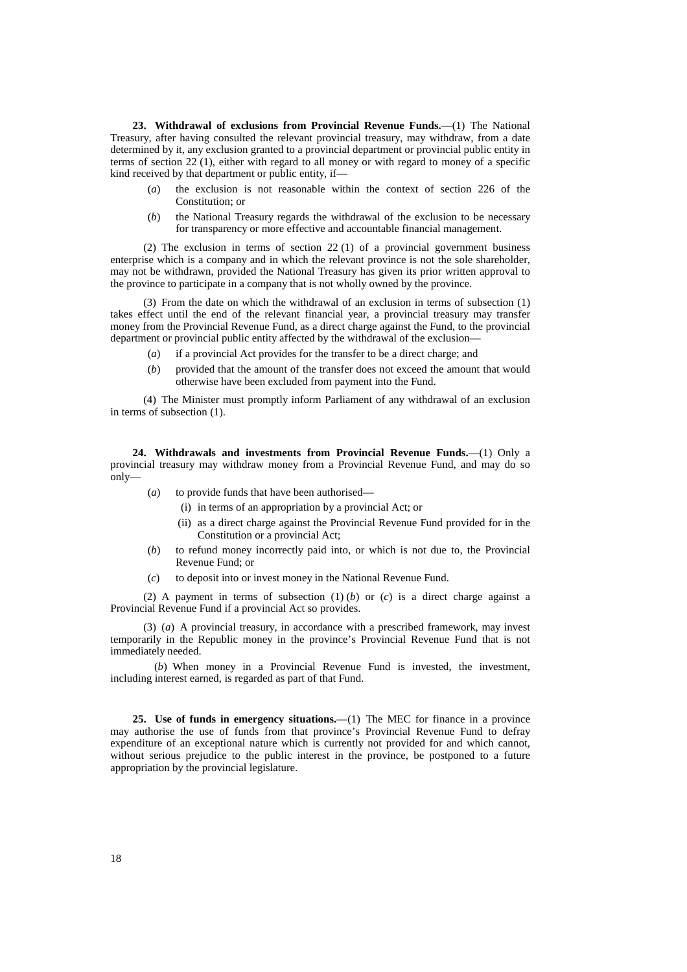**23. Withdrawal of exclusions from Provincial Revenue Funds.**—(1) The National Treasury, after having consulted the relevant provincial treasury, may withdraw, from a date determined by it, any exclusion granted to a provincial department or provincial public entity in terms of section 22 (1), either with regard to all money or with regard to money of a specific kind received by that department or public entity, if—

- (*a*) the exclusion is not reasonable within the context of section 226 of the Constitution; or
- (*b*) the National Treasury regards the withdrawal of the exclusion to be necessary for transparency or more effective and accountable financial management.

(2) The exclusion in terms of section 22 (1) of a provincial government business enterprise which is a company and in which the relevant province is not the sole shareholder, may not be withdrawn, provided the National Treasury has given its prior written approval to the province to participate in a company that is not wholly owned by the province.

(3) From the date on which the withdrawal of an exclusion in terms of subsection (1) takes effect until the end of the relevant financial year, a provincial treasury may transfer money from the Provincial Revenue Fund, as a direct charge against the Fund, to the provincial department or provincial public entity affected by the withdrawal of the exclusion—

- (*a*) if a provincial Act provides for the transfer to be a direct charge; and
- (*b*) provided that the amount of the transfer does not exceed the amount that would otherwise have been excluded from payment into the Fund.

(4) The Minister must promptly inform Parliament of any withdrawal of an exclusion in terms of subsection (1).

**24. Withdrawals and investments from Provincial Revenue Funds.**— (1) Only a provincial treasury may withdraw money from a Provincial Revenue Fund, and may do so only—

- (*a*) to provide funds that have been authorised—
	- (i) in terms of an appropriation by a provincial Act; or
	- (ii) as a direct charge against the Provincial Revenue Fund provided for in the Constitution or a provincial Act;
- (*b*) to refund money incorrectly paid into, or which is not due to, the Provincial Revenue Fund; or
- (*c*) to deposit into or invest money in the National Revenue Fund.

(2) A payment in terms of subsection  $(1)$  (*b*) or (*c*) is a direct charge against a Provincial Revenue Fund if a provincial Act so provides.

(3) (*a*) A provincial treasury, in accordance with a prescribed framework, may invest temporarily in the Republic money in the province's Provincial Revenue Fund that is not immediately needed.

(*b*) When money in a Provincial Revenue Fund is invested, the investment, including interest earned, is regarded as part of that Fund.

**25.** Use of funds in emergency situations.—(1) The MEC for finance in a province may authorise the use of funds from that province's Provincial Revenue Fund to defray expenditure of an exceptional nature which is currently not provided for and which cannot, without serious prejudice to the public interest in the province, be postponed to a future appropriation by the provincial legislature.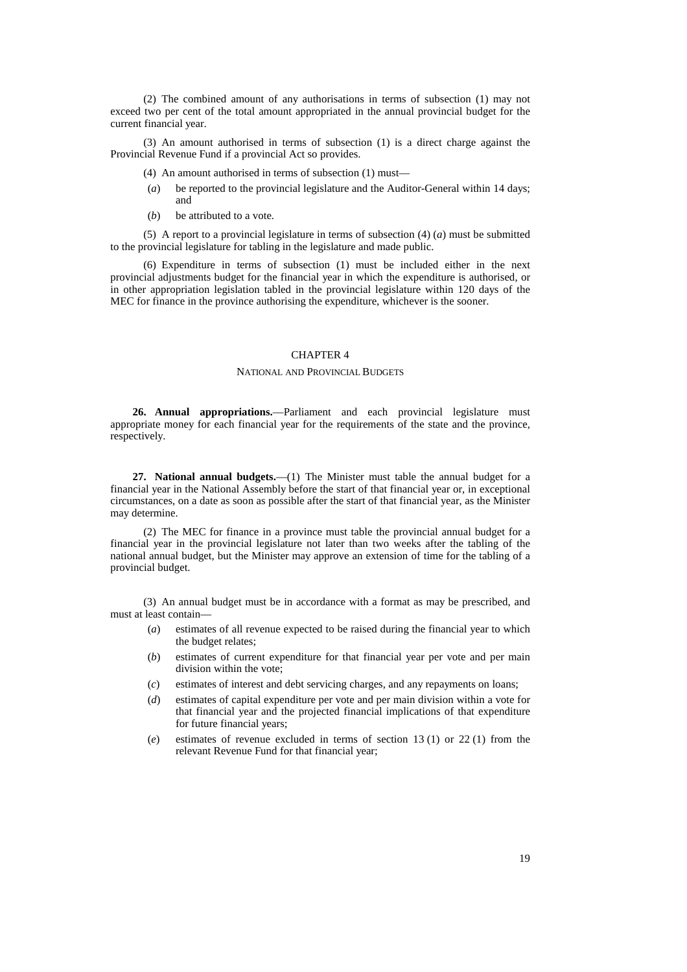(2) The combined amount of any authorisations in terms of subsection (1) may not exceed two per cent of the total amount appropriated in the annual provincial budget for the current financial year.

(3) An amount authorised in terms of subsection (1) is a direct charge against the Provincial Revenue Fund if a provincial Act so provides.

- (4) An amount authorised in terms of subsection (1) must—
- (*a*) be reported to the provincial legislature and the Auditor-General within 14 days; and
- (*b*) be attributed to a vote.

(5) A report to a provincial legislature in terms of subsection (4) (*a*) must be submitted to the provincial legislature for tabling in the legislature and made public.

(6) Expenditure in terms of subsection (1) must be included either in the next provincial adjustments budget for the financial year in which the expenditure is authorised, or in other appropriation legislation tabled in the provincial legislature within 120 days of the MEC for finance in the province authorising the expenditure, whichever is the sooner.

## CHAPTER 4

#### NATIONAL AND PROVINCIAL BUDGETS

**26. Annual appropriations.**— Parliament and each provincial legislature must appropriate money for each financial year for the requirements of the state and the province, respectively.

**27. National annual budgets.**—(1) The Minister must table the annual budget for a financial year in the National Assembly before the start of that financial year or, in exceptional circumstances, on a date as soon as possible after the start of that financial year, as the Minister may determine.

(2) The MEC for finance in a province must table the provincial annual budget for a financial year in the provincial legislature not later than two weeks after the tabling of the national annual budget, but the Minister may approve an extension of time for the tabling of a provincial budget.

(3) An annual budget must be in accordance with a format as may be prescribed, and must at least contain—

- (*a*) estimates of all revenue expected to be raised during the financial year to which the budget relates;
- (*b*) estimates of current expenditure for that financial year per vote and per main division within the vote;
- (*c*) estimates of interest and debt servicing charges, and any repayments on loans;
- (*d*) estimates of capital expenditure per vote and per main division within a vote for that financial year and the projected financial implications of that expenditure for future financial years;
- (*e*) estimates of revenue excluded in terms of section 13 (1) or 22 (1) from the relevant Revenue Fund for that financial year;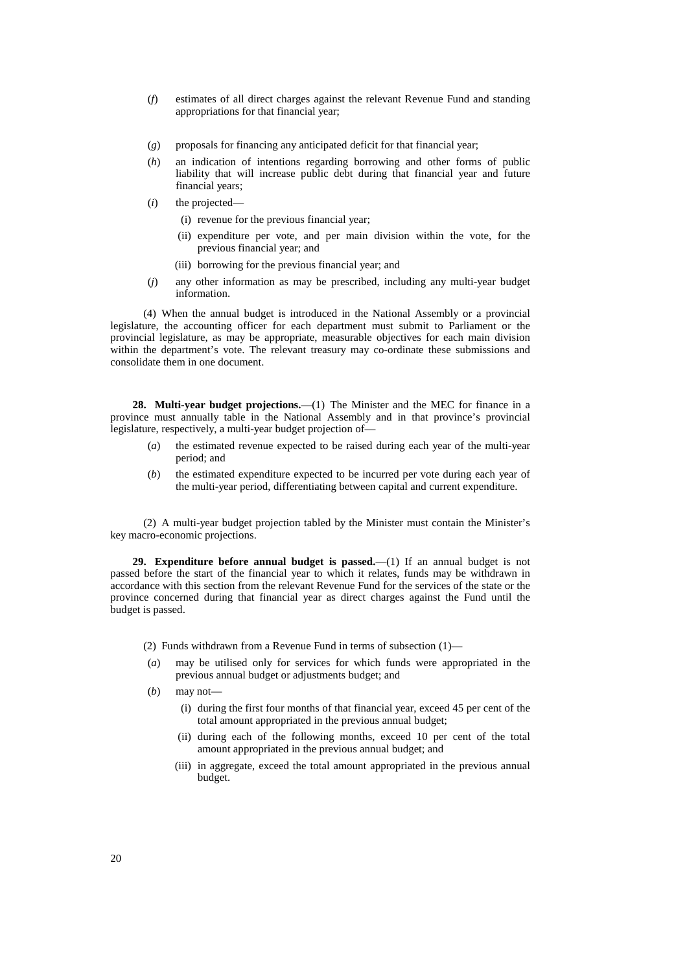- (*f*) estimates of all direct charges against the relevant Revenue Fund and standing appropriations for that financial year;
- (*g*) proposals for financing any anticipated deficit for that financial year;
- (*h*) an indication of intentions regarding borrowing and other forms of public liability that will increase public debt during that financial year and future financial years;
- (*i*) the projected—
	- (i) revenue for the previous financial year;
	- (ii) expenditure per vote, and per main division within the vote, for the previous financial year; and
	- (iii) borrowing for the previous financial year; and
- (*j*) any other information as may be prescribed, including any multi-year budget information.

(4) When the annual budget is introduced in the National Assembly or a provincial legislature, the accounting officer for each department must submit to Parliament or the provincial legislature, as may be appropriate, measurable objectives for each main division within the department's vote. The relevant treasury may co-ordinate these submissions and consolidate them in one document.

**28. Multi-year budget projections.**—(1) The Minister and the MEC for finance in a province must annually table in the National Assembly and in that province's provincial legislature, respectively, a multi-year budget projection of—

- (*a*) the estimated revenue expected to be raised during each year of the multi-year period; and
- (*b*) the estimated expenditure expected to be incurred per vote during each year of the multi-year period, differentiating between capital and current expenditure.

(2) A multi-year budget projection tabled by the Minister must contain the Minister's key macro-economic projections.

29. Expenditure before annual budget is passed.—(1) If an annual budget is not passed before the start of the financial year to which it relates, funds may be withdrawn in accordance with this section from the relevant Revenue Fund for the services of the state or the province concerned during that financial year as direct charges against the Fund until the budget is passed.

(2) Funds withdrawn from a Revenue Fund in terms of subsection (1)—

- (*a*) may be utilised only for services for which funds were appropriated in the previous annual budget or adjustments budget; and
- (*b*) may not—
	- (i) during the first four months of that financial year, exceed 45 per cent of the total amount appropriated in the previous annual budget;
	- (ii) during each of the following months, exceed 10 per cent of the total amount appropriated in the previous annual budget; and
	- (iii) in aggregate, exceed the total amount appropriated in the previous annual budget.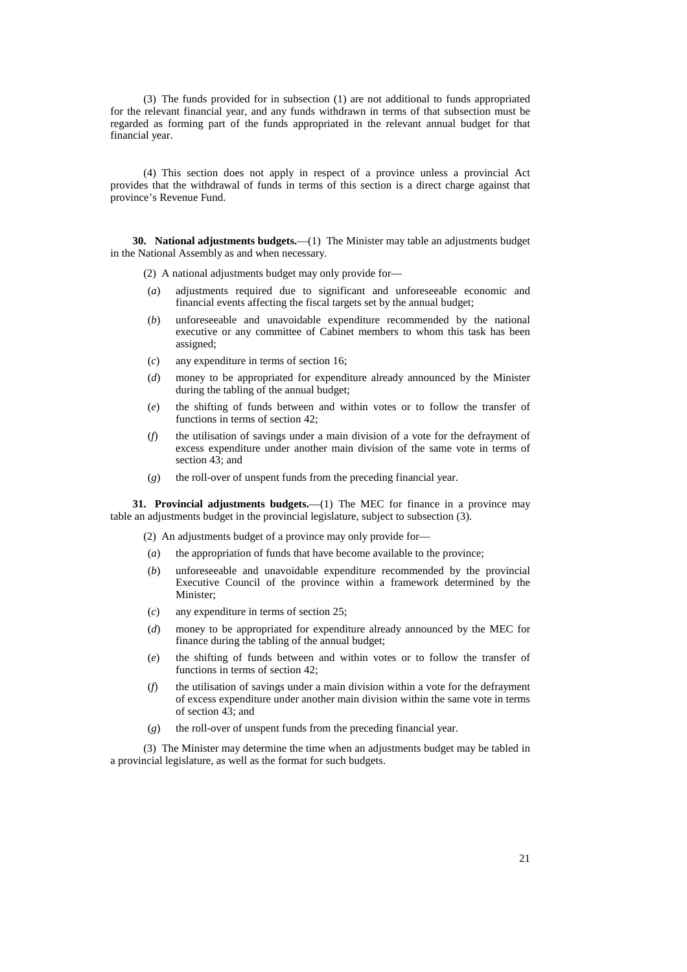(3) The funds provided for in subsection (1) are not additional to funds appropriated for the relevant financial year, and any funds withdrawn in terms of that subsection must be regarded as forming part of the funds appropriated in the relevant annual budget for that financial year.

(4) This section does not apply in respect of a province unless a provincial Act provides that the withdrawal of funds in terms of this section is a direct charge against that province's Revenue Fund.

**30. National adjustments budgets.**—(1) The Minister may table an adjustments budget in the National Assembly as and when necessary.

- (2) A national adjustments budget may only provide for—
- (*a*) adjustments required due to significant and unforeseeable economic and financial events affecting the fiscal targets set by the annual budget;
- (*b*) unforeseeable and unavoidable expenditure recommended by the national executive or any committee of Cabinet members to whom this task has been assigned;
- (*c*) any expenditure in terms of section 16;
- (*d*) money to be appropriated for expenditure already announced by the Minister during the tabling of the annual budget;
- (*e*) the shifting of funds between and within votes or to follow the transfer of functions in terms of section 42;
- (*f*) the utilisation of savings under a main division of a vote for the defrayment of excess expenditure under another main division of the same vote in terms of section 43; and
- (*g*) the roll-over of unspent funds from the preceding financial year.

**31. Provincial adjustments budgets.**—(1) The MEC for finance in a province may table an adjustments budget in the provincial legislature, subject to subsection (3).

(2) An adjustments budget of a province may only provide for—

- (*a*) the appropriation of funds that have become available to the province;
- (*b*) unforeseeable and unavoidable expenditure recommended by the provincial Executive Council of the province within a framework determined by the Minister;
- (*c*) any expenditure in terms of section 25;
- (*d*) money to be appropriated for expenditure already announced by the MEC for finance during the tabling of the annual budget;
- (*e*) the shifting of funds between and within votes or to follow the transfer of functions in terms of section 42;
- (*f*) the utilisation of savings under a main division within a vote for the defrayment of excess expenditure under another main division within the same vote in terms of section  $4\overline{3}$ ; and
- (*g*) the roll-over of unspent funds from the preceding financial year.

(3) The Minister may determine the time when an adjustments budget may be tabled in a provincial legislature, as well as the format for such budgets.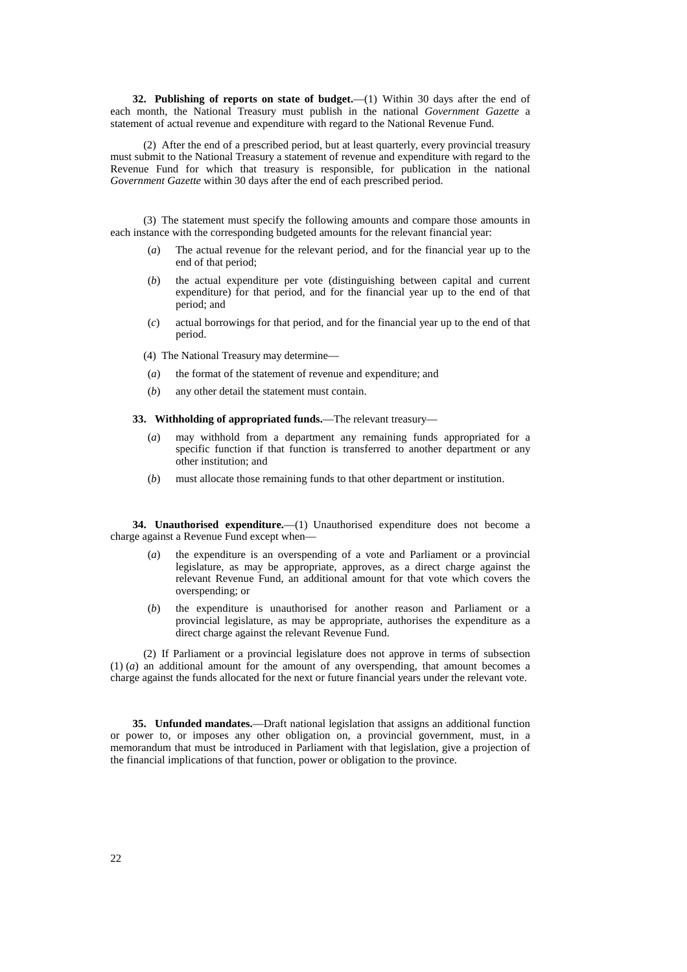**32. Publishing of reports on state of budget.**—(1) Within 30 days after the end of each month, the National Treasury must publish in the national *Government Gazette* a statement of actual revenue and expenditure with regard to the National Revenue Fund.

(2) After the end of a prescribed period, but at least quarterly, every provincial treasury must submit to the National Treasury a statement of revenue and expenditure with regard to the Revenue Fund for which that treasury is responsible, for publication in the national *Government Gazette* within 30 days after the end of each prescribed period.

(3) The statement must specify the following amounts and compare those amounts in each instance with the corresponding budgeted amounts for the relevant financial year:

- (*a*) The actual revenue for the relevant period, and for the financial year up to the end of that period;
- (*b*) the actual expenditure per vote (distinguishing between capital and current expenditure) for that period, and for the financial year up to the end of that period; and
- (*c*) actual borrowings for that period, and for the financial year up to the end of that period.

(4) The National Treasury may determine—

- (*a*) the format of the statement of revenue and expenditure; and
- (*b*) any other detail the statement must contain.

**33. Withholding of appropriated funds.**— The relevant treasury—

- (*a*) may withhold from a department any remaining funds appropriated for a specific function if that function is transferred to another department or any other institution; and
- (*b*) must allocate those remaining funds to that other department or institution.

**34. Unauthorised expenditure.**—(1) Unauthorised expenditure does not become a charge against a Revenue Fund except when—

- (*a*) the expenditure is an overspending of a vote and Parliament or a provincial legislature, as may be appropriate, approves, as a direct charge against the relevant Revenue Fund, an additional amount for that vote which covers the overspending; or
- (*b*) the expenditure is unauthorised for another reason and Parliament or a provincial legislature, as may be appropriate, authorises the expenditure as a direct charge against the relevant Revenue Fund.

(2) If Parliament or a provincial legislature does not approve in terms of subsection (1) (*a*) an additional amount for the amount of any overspending, that amount becomes a charge against the funds allocated for the next or future financial years under the relevant vote.

**35. Unfunded mandates.**— Draft national legislation that assigns an additional function or power to, or imposes any other obligation on, a provincial government, must, in a memorandum that must be introduced in Parliament with that legislation, give a projection of the financial implications of that function, power or obligation to the province.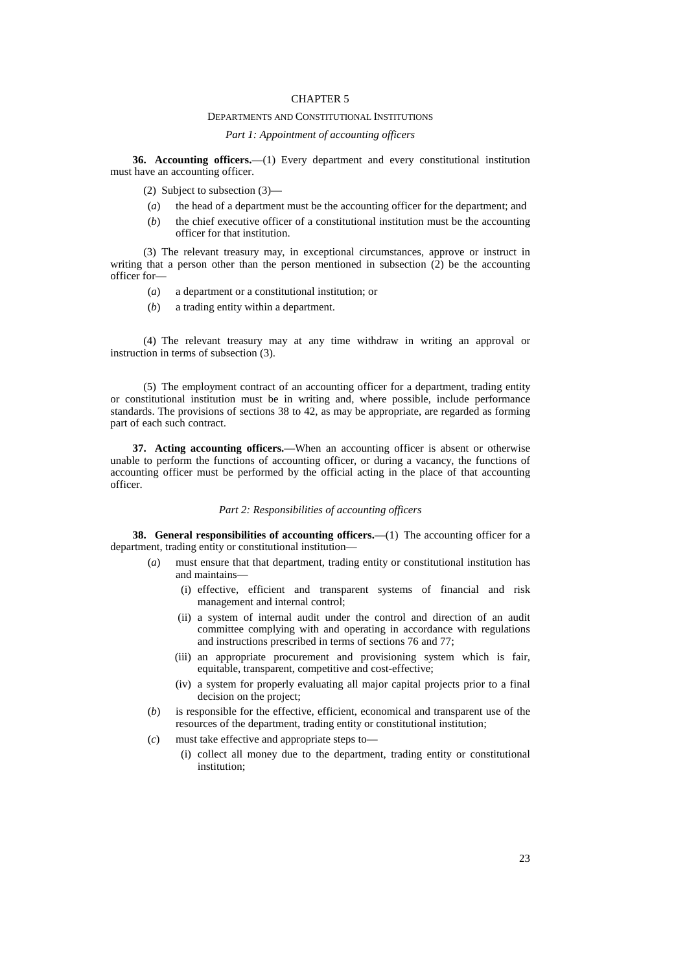## CHAPTER 5

#### DEPARTMENTS AND CONSTITUTIONAL INSTITUTIONS

*Part 1: Appointment of accounting officers*

**36. Accounting officers.**—(1) Every department and every constitutional institution must have an accounting officer.

(2) Subject to subsection (3)—

- (*a*) the head of a department must be the accounting officer for the department; and
- (*b*) the chief executive officer of a constitutional institution must be the accounting officer for that institution.

(3) The relevant treasury may, in exceptional circumstances, approve or instruct in writing that a person other than the person mentioned in subsection  $(2)$  be the accounting officer for—

- (*a*) a department or a constitutional institution; or
- (*b*) a trading entity within a department.

(4) The relevant treasury may at any time withdraw in writing an approval or instruction in terms of subsection (3).

(5) The employment contract of an accounting officer for a department, trading entity or constitutional institution must be in writing and, where possible, include performance standards. The provisions of sections 38 to 42, as may be appropriate, are regarded as forming part of each such contract.

**37. Acting accounting officers.**— When an accounting officer is absent or otherwise unable to perform the functions of accounting officer, or during a vacancy, the functions of accounting officer must be performed by the official acting in the place of that accounting officer.

#### *Part 2: Responsibilities of accounting officers*

**38. General responsibilities of accounting officers.**—(1) The accounting officer for a department, trading entity or constitutional institution-

- (*a*) must ensure that that department, trading entity or constitutional institution has and maintains—
	- (i) effective, efficient and transparent systems of financial and risk management and internal control;
	- (ii) a system of internal audit under the control and direction of an audit committee complying with and operating in accordance with regulations and instructions prescribed in terms of sections 76 and 77;
	- (iii) an appropriate procurement and provisioning system which is fair, equitable, transparent, competitive and cost-effective;
	- (iv) a system for properly evaluating all major capital projects prior to a final decision on the project;
- (*b*) is responsible for the effective, efficient, economical and transparent use of the resources of the department, trading entity or constitutional institution;
- (*c*) must take effective and appropriate steps to—
	- (i) collect all money due to the department, trading entity or constitutional institution;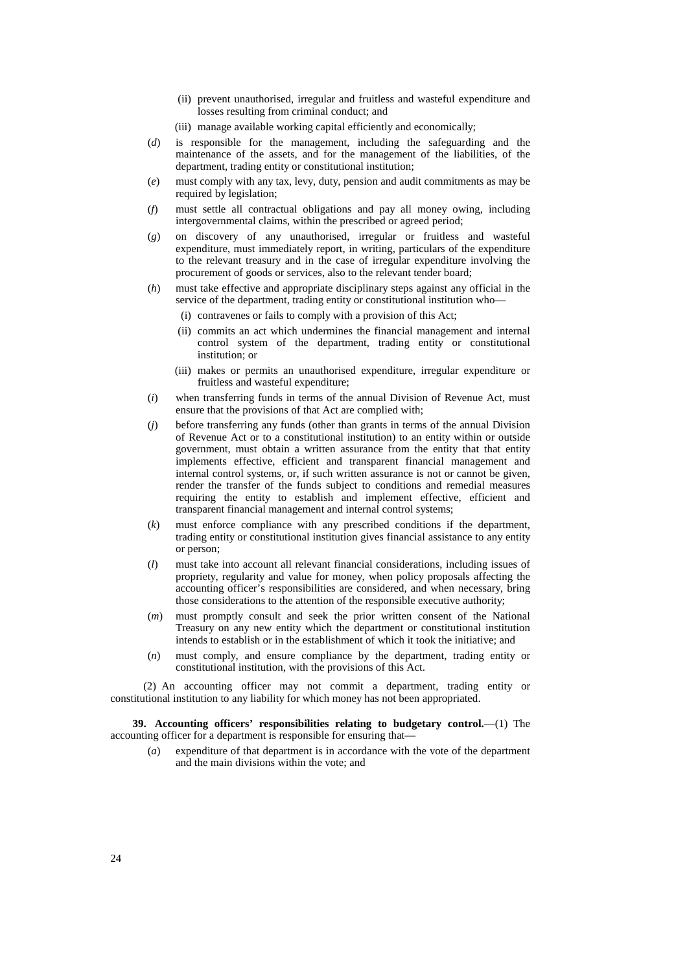- (ii) prevent unauthorised, irregular and fruitless and wasteful expenditure and losses resulting from criminal conduct; and
- (iii) manage available working capital efficiently and economically;
- (*d*) is responsible for the management, including the safeguarding and the maintenance of the assets, and for the management of the liabilities, of the department, trading entity or constitutional institution;
- (*e*) must comply with any tax, levy, duty, pension and audit commitments as may be required by legislation;
- (*f*) must settle all contractual obligations and pay all money owing, including intergovernmental claims, within the prescribed or agreed period;
- (*g*) on discovery of any unauthorised, irregular or fruitless and wasteful expenditure, must immediately report, in writing, particulars of the expenditure to the relevant treasury and in the case of irregular expenditure involving the procurement of goods or services, also to the relevant tender board;
- (*h*) must take effective and appropriate disciplinary steps against any official in the service of the department, trading entity or constitutional institution who—
	- (i) contravenes or fails to comply with a provision of this Act;
	- (ii) commits an act which undermines the financial management and internal control system of the department, trading entity or constitutional institution; or
	- (iii) makes or permits an unauthorised expenditure, irregular expenditure or fruitless and wasteful expenditure;
- (*i*) when transferring funds in terms of the annual Division of Revenue Act, must ensure that the provisions of that Act are complied with;
- (*j*) before transferring any funds (other than grants in terms of the annual Division of Revenue Act or to a constitutional institution) to an entity within or outside government, must obtain a written assurance from the entity that that entity implements effective, efficient and transparent financial management and internal control systems, or, if such written assurance is not or cannot be given, render the transfer of the funds subject to conditions and remedial measures requiring the entity to establish and implement effective, efficient and transparent financial management and internal control systems;
- (*k*) must enforce compliance with any prescribed conditions if the department, trading entity or constitutional institution gives financial assistance to any entity or person;
- (*l*) must take into account all relevant financial considerations, including issues of propriety, regularity and value for money, when policy proposals affecting the accounting officer's responsibilities are considered, and when necessary, bring those considerations to the attention of the responsible executive authority;
- (*m*) must promptly consult and seek the prior written consent of the National Treasury on any new entity which the department or constitutional institution intends to establish or in the establishment of which it took the initiative; and
- (*n*) must comply, and ensure compliance by the department, trading entity or constitutional institution, with the provisions of this Act.

(2) An accounting officer may not commit a department, trading entity or constitutional institution to any liability for which money has not been appropriated.

**39.** Accounting officers' responsibilities relating to budgetary control.—(1) The accounting officer for a department is responsible for ensuring that—

(*a*) expenditure of that department is in accordance with the vote of the department and the main divisions within the vote; and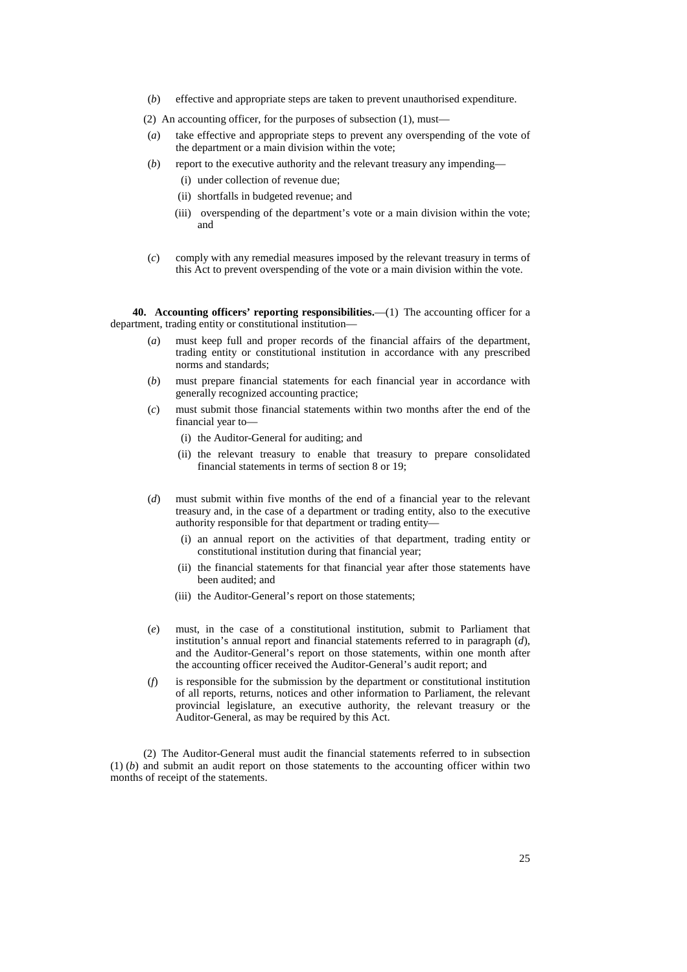- (*b*) effective and appropriate steps are taken to prevent unauthorised expenditure.
- (2) An accounting officer, for the purposes of subsection (1), must—
- (*a*) take effective and appropriate steps to prevent any overspending of the vote of the department or a main division within the vote;
- (*b*) report to the executive authority and the relevant treasury any impending—
	- (i) under collection of revenue due;
	- (ii) shortfalls in budgeted revenue; and
	- (iii) overspending of the department's vote or a main division within the vote; and
- (*c*) comply with any remedial measures imposed by the relevant treasury in terms of this Act to prevent overspending of the vote or a main division within the vote.

**40. Accounting officers' reporting responsibilities.**—(1) The accounting officer for a department, trading entity or constitutional institution—

- (*a*) must keep full and proper records of the financial affairs of the department, trading entity or constitutional institution in accordance with any prescribed norms and standards;
- (*b*) must prepare financial statements for each financial year in accordance with generally recognized accounting practice;
- (*c*) must submit those financial statements within two months after the end of the financial year to—
	- (i) the Auditor-General for auditing; and
	- (ii) the relevant treasury to enable that treasury to prepare consolidated financial statements in terms of section 8 or 19;
- (*d*) must submit within five months of the end of a financial year to the relevant treasury and, in the case of a department or trading entity, also to the executive authority responsible for that department or trading entity—
	- (i) an annual report on the activities of that department, trading entity or constitutional institution during that financial year;
	- (ii) the financial statements for that financial year after those statements have been audited; and
	- (iii) the Auditor-General's report on those statements;
- (*e*) must, in the case of a constitutional institution, submit to Parliament that institution's annual report and financial statements referred to in paragraph (*d*), and the Auditor-General's report on those statements, within one month after the accounting officer received the Auditor-General's audit report; and
- (*f*) is responsible for the submission by the department or constitutional institution of all reports, returns, notices and other information to Parliament, the relevant provincial legislature, an executive authority, the relevant treasury or the Auditor-General, as may be required by this Act.

(2) The Auditor-General must audit the financial statements referred to in subsection (1) (*b*) and submit an audit report on those statements to the accounting officer within two months of receipt of the statements.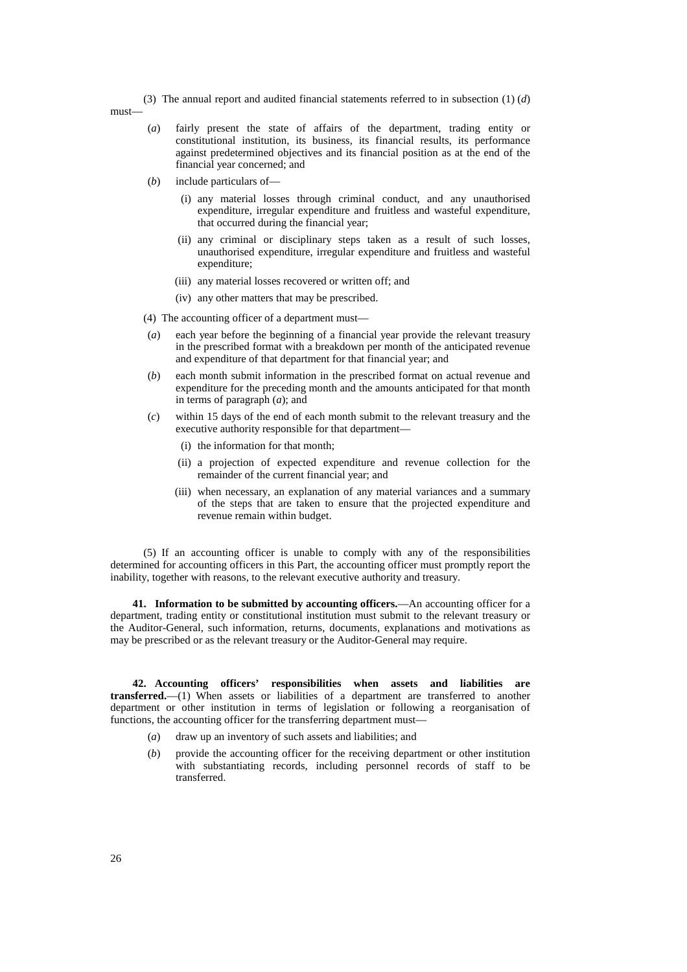(3) The annual report and audited financial statements referred to in subsection (1) (*d*)

must—

- (*a*) fairly present the state of affairs of the department, trading entity or constitutional institution, its business, its financial results, its performance against predetermined objectives and its financial position as at the end of the financial year concerned; and
- (*b*) include particulars of—
	- (i) any material losses through criminal conduct, and any unauthorised expenditure, irregular expenditure and fruitless and wasteful expenditure, that occurred during the financial year;
	- (ii) any criminal or disciplinary steps taken as a result of such losses, unauthorised expenditure, irregular expenditure and fruitless and wasteful expenditure;
	- (iii) any material losses recovered or written off; and
	- (iv) any other matters that may be prescribed.
- (4) The accounting officer of a department must—
- (*a*) each year before the beginning of a financial year provide the relevant treasury in the prescribed format with a breakdown per month of the anticipated revenue and expenditure of that department for that financial year; and
- (*b*) each month submit information in the prescribed format on actual revenue and expenditure for the preceding month and the amounts anticipated for that month in terms of paragraph (*a*); and
- (*c*) within 15 days of the end of each month submit to the relevant treasury and the executive authority responsible for that department—
	- (i) the information for that month;
	- (ii) a projection of expected expenditure and revenue collection for the remainder of the current financial year; and
	- (iii) when necessary, an explanation of any material variances and a summary of the steps that are taken to ensure that the projected expenditure and revenue remain within budget.

(5) If an accounting officer is unable to comply with any of the responsibilities determined for accounting officers in this Part, the accounting officer must promptly report the inability, together with reasons, to the relevant executive authority and treasury.

**41. Information to be submitted by accounting officers.**— An accounting officer for a department, trading entity or constitutional institution must submit to the relevant treasury or the Auditor-General, such information, returns, documents, explanations and motivations as may be prescribed or as the relevant treasury or the Auditor-General may require.

**42. Accounting officers' responsibilities when assets and liabilities are transferred.**—(1) When assets or liabilities of a department are transferred to another department or other institution in terms of legislation or following a reorganisation of functions, the accounting officer for the transferring department must—

- (*a*) draw up an inventory of such assets and liabilities; and
- (*b*) provide the accounting officer for the receiving department or other institution with substantiating records, including personnel records of staff to be transferred.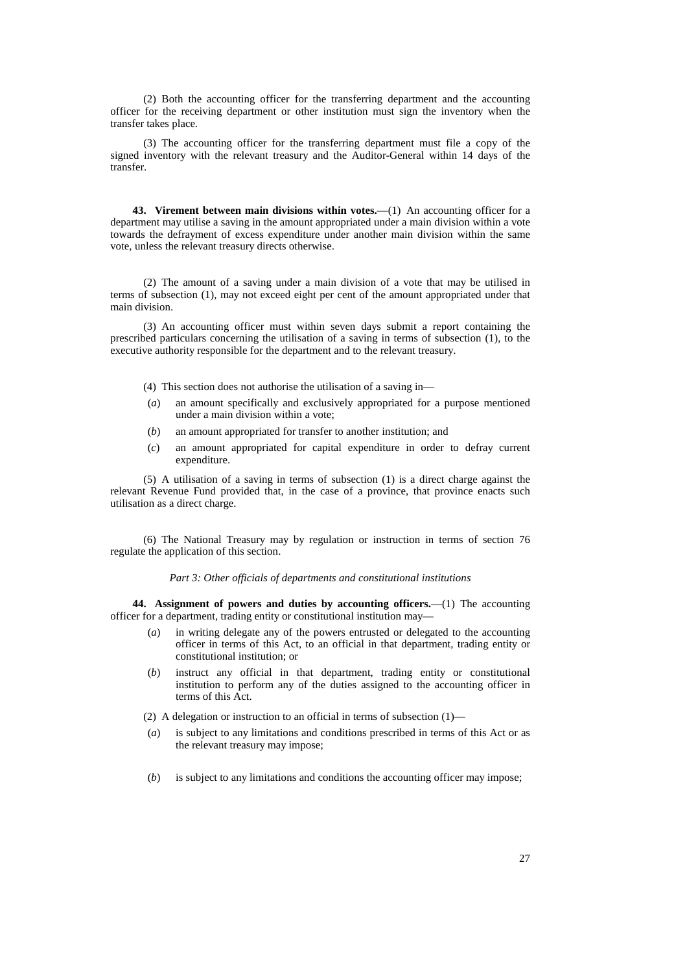(2) Both the accounting officer for the transferring department and the accounting officer for the receiving department or other institution must sign the inventory when the transfer takes place.

(3) The accounting officer for the transferring department must file a copy of the signed inventory with the relevant treasury and the Auditor-General within 14 days of the transfer.

**43. Virement between main divisions within votes.**—(1) An accounting officer for a department may utilise a saving in the amount appropriated under a main division within a vote towards the defrayment of excess expenditure under another main division within the same vote, unless the relevant treasury directs otherwise.

(2) The amount of a saving under a main division of a vote that may be utilised in terms of subsection (1), may not exceed eight per cent of the amount appropriated under that main division.

(3) An accounting officer must within seven days submit a report containing the prescribed particulars concerning the utilisation of a saving in terms of subsection (1), to the executive authority responsible for the department and to the relevant treasury.

- (4) This section does not authorise the utilisation of a saving in—
- (*a*) an amount specifically and exclusively appropriated for a purpose mentioned under a main division within a vote;
- (*b*) an amount appropriated for transfer to another institution; and
- (*c*) an amount appropriated for capital expenditure in order to defray current expenditure.

(5) A utilisation of a saving in terms of subsection (1) is a direct charge against the relevant Revenue Fund provided that, in the case of a province, that province enacts such utilisation as a direct charge.

(6) The National Treasury may by regulation or instruction in terms of section 76 regulate the application of this section.

*Part 3: Other officials of departments and constitutional institutions*

**44.** Assignment of powers and duties by accounting officers.—(1) The accounting officer for a department, trading entity or constitutional institution may—

- (*a*) in writing delegate any of the powers entrusted or delegated to the accounting officer in terms of this Act, to an official in that department, trading entity or constitutional institution; or
- (*b*) instruct any official in that department, trading entity or constitutional institution to perform any of the duties assigned to the accounting officer in terms of this Act.

(2) A delegation or instruction to an official in terms of subsection (1)—

- (*a*) is subject to any limitations and conditions prescribed in terms of this Act or as the relevant treasury may impose;
- (*b*) is subject to any limitations and conditions the accounting officer may impose;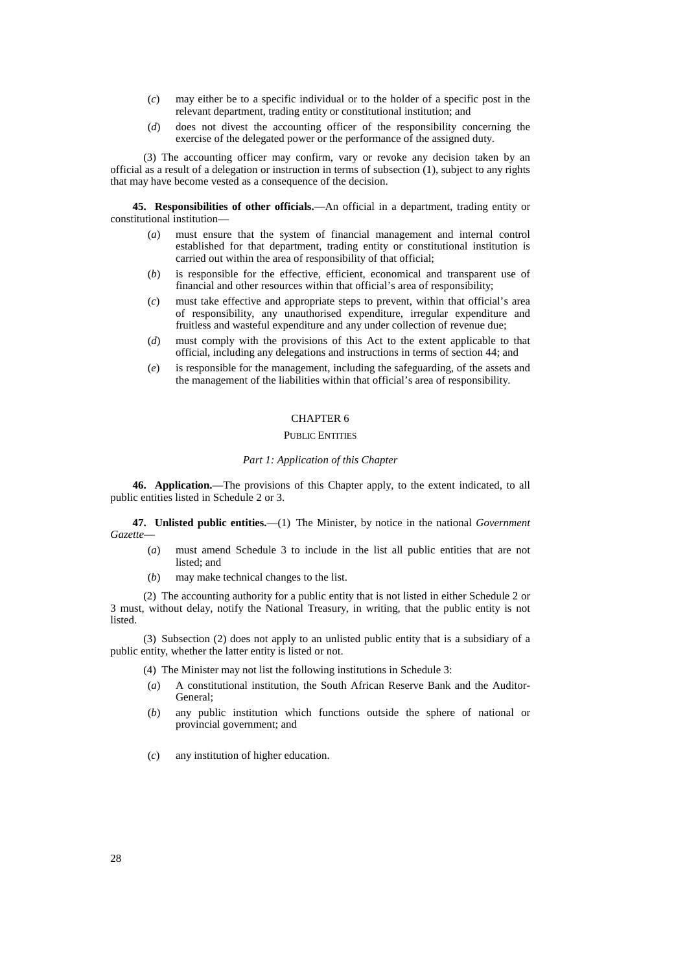- (*c*) may either be to a specific individual or to the holder of a specific post in the relevant department, trading entity or constitutional institution; and
- (*d*) does not divest the accounting officer of the responsibility concerning the exercise of the delegated power or the performance of the assigned duty.

(3) The accounting officer may confirm, vary or revoke any decision taken by an official as a result of a delegation or instruction in terms of subsection (1), subject to any rights that may have become vested as a consequence of the decision.

**45. Responsibilities of other officials.**— An official in a department, trading entity or constitutional institution—

- (*a*) must ensure that the system of financial management and internal control established for that department, trading entity or constitutional institution is carried out within the area of responsibility of that official;
- (*b*) is responsible for the effective, efficient, economical and transparent use of financial and other resources within that official's area of responsibility;
- (*c*) must take effective and appropriate steps to prevent, within that official's area of responsibility, any unauthorised expenditure, irregular expenditure and fruitless and wasteful expenditure and any under collection of revenue due;
- (*d*) must comply with the provisions of this Act to the extent applicable to that official, including any delegations and instructions in terms of section 44; and
- (*e*) is responsible for the management, including the safeguarding, of the assets and the management of the liabilities within that official's area of responsibility.

## CHAPTER 6

## PUBLIC ENTITIES

## *Part 1: Application of this Chapter*

**46. Application.**— The provisions of this Chapter apply, to the extent indicated, to all public entities listed in Schedule 2 or 3.

**47. Unlisted public entities.**—(1) The Minister, by notice in the national *Government Gazette*—

- (*a*) must amend Schedule 3 to include in the list all public entities that are not listed; and
- (*b*) may make technical changes to the list.

(2) The accounting authority for a public entity that is not listed in either Schedule 2 or 3 must, without delay, notify the National Treasury, in writing, that the public entity is not **listed** 

(3) Subsection (2) does not apply to an unlisted public entity that is a subsidiary of a public entity, whether the latter entity is listed or not.

(4) The Minister may not list the following institutions in Schedule 3:

- (*a*) A constitutional institution, the South African Reserve Bank and the Auditor-General;
- (*b*) any public institution which functions outside the sphere of national or provincial government; and
- (*c*) any institution of higher education.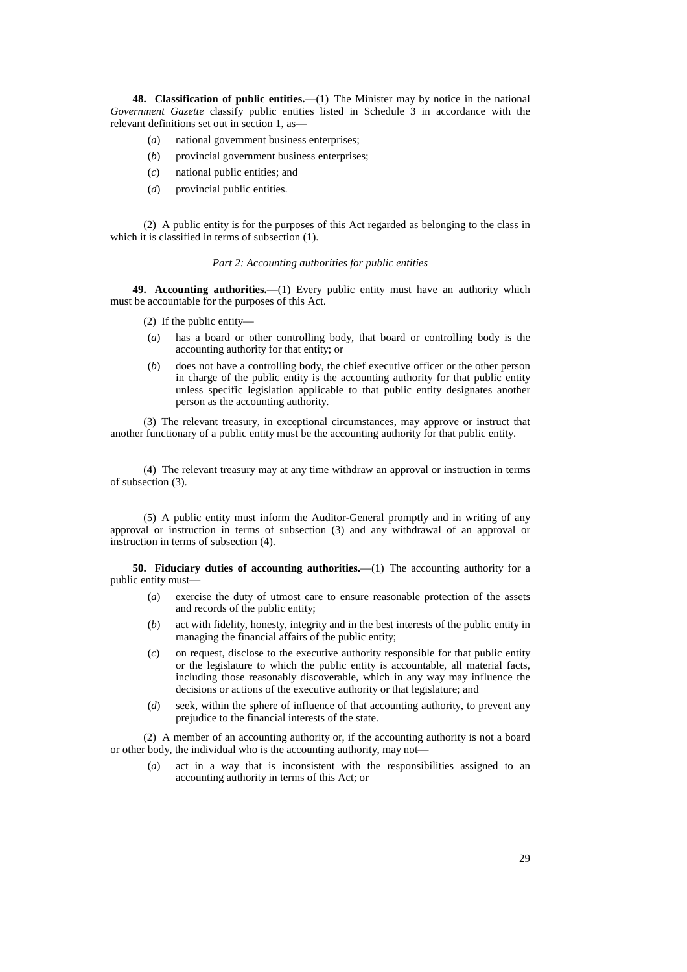**48. Classification of public entities.**—(1) The Minister may by notice in the national *Government Gazette* classify public entities listed in Schedule 3 in accordance with the relevant definitions set out in section 1, as—

- (*a*) national government business enterprises;
- (*b*) provincial government business enterprises;
- (*c*) national public entities; and
- (*d*) provincial public entities.

(2) A public entity is for the purposes of this Act regarded as belonging to the class in which it is classified in terms of subsection (1).

## *Part 2: Accounting authorities for public entities*

**49. Accounting authorities.**—(1) Every public entity must have an authority which must be accountable for the purposes of this Act.

- (2) If the public entity—
- (*a*) has a board or other controlling body, that board or controlling body is the accounting authority for that entity; or
- (*b*) does not have a controlling body, the chief executive officer or the other person in charge of the public entity is the accounting authority for that public entity unless specific legislation applicable to that public entity designates another person as the accounting authority.

(3) The relevant treasury, in exceptional circumstances, may approve or instruct that another functionary of a public entity must be the accounting authority for that public entity.

(4) The relevant treasury may at any time withdraw an approval or instruction in terms of subsection (3).

(5) A public entity must inform the Auditor-General promptly and in writing of any approval or instruction in terms of subsection (3) and any withdrawal of an approval or instruction in terms of subsection (4).

**50. Fiduciary duties of accounting authorities.**—(1) The accounting authority for a public entity must—

- (*a*) exercise the duty of utmost care to ensure reasonable protection of the assets and records of the public entity;
- (*b*) act with fidelity, honesty, integrity and in the best interests of the public entity in managing the financial affairs of the public entity;
- (*c*) on request, disclose to the executive authority responsible for that public entity or the legislature to which the public entity is accountable, all material facts, including those reasonably discoverable, which in any way may influence the decisions or actions of the executive authority or that legislature; and
- (*d*) seek, within the sphere of influence of that accounting authority, to prevent any prejudice to the financial interests of the state.

(2) A member of an accounting authority or, if the accounting authority is not a board or other body, the individual who is the accounting authority, may not—

(*a*) act in a way that is inconsistent with the responsibilities assigned to an accounting authority in terms of this Act; or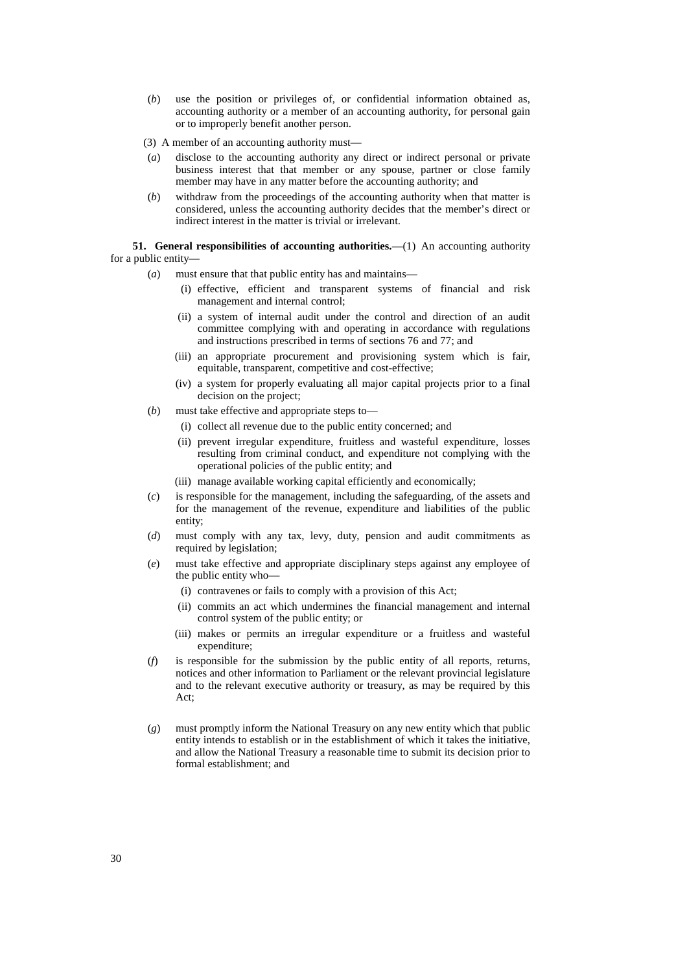- (*b*) use the position or privileges of, or confidential information obtained as, accounting authority or a member of an accounting authority, for personal gain or to improperly benefit another person.
- (3) A member of an accounting authority must—
- (*a*) disclose to the accounting authority any direct or indirect personal or private business interest that that member or any spouse, partner or close family member may have in any matter before the accounting authority; and
- (*b*) withdraw from the proceedings of the accounting authority when that matter is considered, unless the accounting authority decides that the member's direct or indirect interest in the matter is trivial or irrelevant.

**51. General responsibilities of accounting authorities.**—(1) An accounting authority for a public entity—

- (*a*) must ensure that that public entity has and maintains—
	- (i) effective, efficient and transparent systems of financial and risk management and internal control;
	- (ii) a system of internal audit under the control and direction of an audit committee complying with and operating in accordance with regulations and instructions prescribed in terms of sections 76 and 77; and
	- (iii) an appropriate procurement and provisioning system which is fair, equitable, transparent, competitive and cost-effective;
	- (iv) a system for properly evaluating all major capital projects prior to a final decision on the project;
- (*b*) must take effective and appropriate steps to—
	- (i) collect all revenue due to the public entity concerned; and
	- (ii) prevent irregular expenditure, fruitless and wasteful expenditure, losses resulting from criminal conduct, and expenditure not complying with the operational policies of the public entity; and
	- (iii) manage available working capital efficiently and economically;
- (*c*) is responsible for the management, including the safeguarding, of the assets and for the management of the revenue, expenditure and liabilities of the public entity;
- (*d*) must comply with any tax, levy, duty, pension and audit commitments as required by legislation;
- (*e*) must take effective and appropriate disciplinary steps against any employee of the public entity who—
	- (i) contravenes or fails to comply with a provision of this Act;
	- (ii) commits an act which undermines the financial management and internal control system of the public entity; or
	- (iii) makes or permits an irregular expenditure or a fruitless and wasteful expenditure;
- (*f*) is responsible for the submission by the public entity of all reports, returns, notices and other information to Parliament or the relevant provincial legislature and to the relevant executive authority or treasury, as may be required by this Act;
- (*g*) must promptly inform the National Treasury on any new entity which that public entity intends to establish or in the establishment of which it takes the initiative, and allow the National Treasury a reasonable time to submit its decision prior to formal establishment; and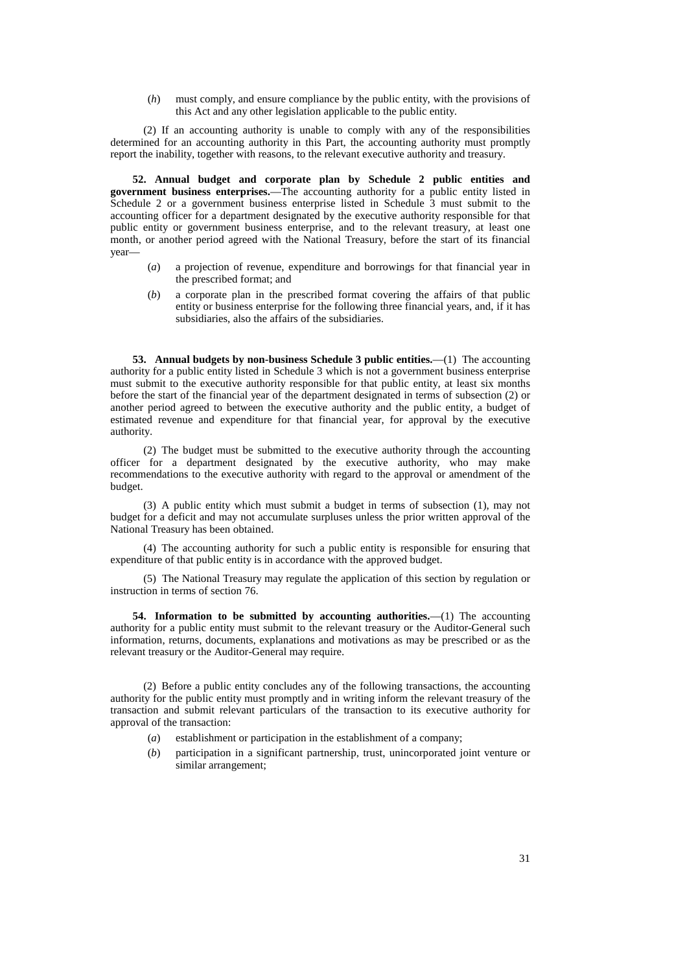(*h*) must comply, and ensure compliance by the public entity, with the provisions of this Act and any other legislation applicable to the public entity.

(2) If an accounting authority is unable to comply with any of the responsibilities determined for an accounting authority in this Part, the accounting authority must promptly report the inability, together with reasons, to the relevant executive authority and treasury.

**52. Annual budget and corporate plan by Schedule 2 public entities and government business enterprises.**— The accounting authority for a public entity listed in Schedule 2 or a government business enterprise listed in Schedule 3 must submit to the accounting officer for a department designated by the executive authority responsible for that public entity or government business enterprise, and to the relevant treasury, at least one month, or another period agreed with the National Treasury, before the start of its financial year—

- (*a*) a projection of revenue, expenditure and borrowings for that financial year in the prescribed format; and
- (*b*) a corporate plan in the prescribed format covering the affairs of that public entity or business enterprise for the following three financial years, and, if it has subsidiaries, also the affairs of the subsidiaries.

**53. Annual budgets by non-business Schedule 3 public entities.**—(1) The accounting authority for a public entity listed in Schedule 3 which is not a government business enterprise must submit to the executive authority responsible for that public entity, at least six months before the start of the financial year of the department designated in terms of subsection (2) or another period agreed to between the executive authority and the public entity, a budget of estimated revenue and expenditure for that financial year, for approval by the executive authority.

(2) The budget must be submitted to the executive authority through the accounting officer for a department designated by the executive authority, who may make recommendations to the executive authority with regard to the approval or amendment of the budget.

(3) A public entity which must submit a budget in terms of subsection (1), may not budget for a deficit and may not accumulate surpluses unless the prior written approval of the National Treasury has been obtained.

(4) The accounting authority for such a public entity is responsible for ensuring that expenditure of that public entity is in accordance with the approved budget.

(5) The National Treasury may regulate the application of this section by regulation or instruction in terms of section 76.

**54.** Information to be submitted by accounting authorities.—(1) The accounting authority for a public entity must submit to the relevant treasury or the Auditor-General such information, returns, documents, explanations and motivations as may be prescribed or as the relevant treasury or the Auditor-General may require.

(2) Before a public entity concludes any of the following transactions, the accounting authority for the public entity must promptly and in writing inform the relevant treasury of the transaction and submit relevant particulars of the transaction to its executive authority for approval of the transaction:

- (*a*) establishment or participation in the establishment of a company;
- (*b*) participation in a significant partnership, trust, unincorporated joint venture or similar arrangement;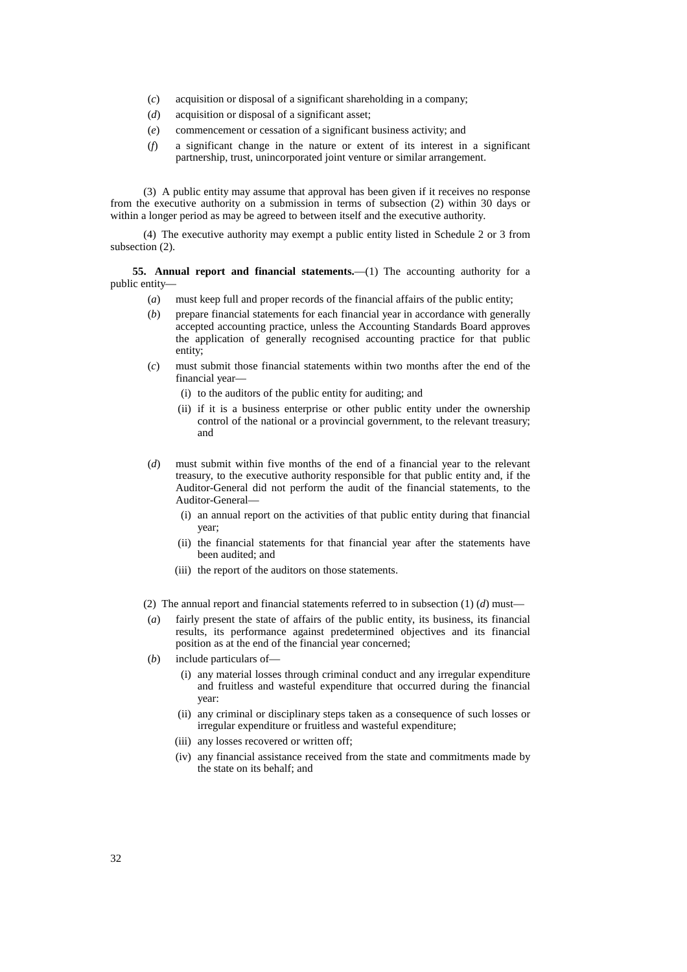- (*c*) acquisition or disposal of a significant shareholding in a company;
- (*d*) acquisition or disposal of a significant asset;
- (*e*) commencement or cessation of a significant business activity; and
- (*f*) a significant change in the nature or extent of its interest in a significant partnership, trust, unincorporated joint venture or similar arrangement.

(3) A public entity may assume that approval has been given if it receives no response from the executive authority on a submission in terms of subsection (2) within 30 days or within a longer period as may be agreed to between itself and the executive authority.

(4) The executive authority may exempt a public entity listed in Schedule 2 or 3 from subsection (2).

**55. Annual report and financial statements.**—(1) The accounting authority for a public entity—

- (*a*) must keep full and proper records of the financial affairs of the public entity;
- (*b*) prepare financial statements for each financial year in accordance with generally accepted accounting practice, unless the Accounting Standards Board approves the application of generally recognised accounting practice for that public entity;
- (*c*) must submit those financial statements within two months after the end of the financial year—
	- (i) to the auditors of the public entity for auditing; and
	- (ii) if it is a business enterprise or other public entity under the ownership control of the national or a provincial government, to the relevant treasury; and
- (*d*) must submit within five months of the end of a financial year to the relevant treasury, to the executive authority responsible for that public entity and, if the Auditor-General did not perform the audit of the financial statements, to the Auditor-General—
	- (i) an annual report on the activities of that public entity during that financial year;
	- (ii) the financial statements for that financial year after the statements have been audited; and
	- (iii) the report of the auditors on those statements.
- (2) The annual report and financial statements referred to in subsection (1) (*d*) must—
- (*a*) fairly present the state of affairs of the public entity, its business, its financial results, its performance against predetermined objectives and its financial position as at the end of the financial year concerned;
- (*b*) include particulars of—
	- (i) any material losses through criminal conduct and any irregular expenditure and fruitless and wasteful expenditure that occurred during the financial year:
	- (ii) any criminal or disciplinary steps taken as a consequence of such losses or irregular expenditure or fruitless and wasteful expenditure;
	- (iii) any losses recovered or written off;
	- (iv) any financial assistance received from the state and commitments made by the state on its behalf; and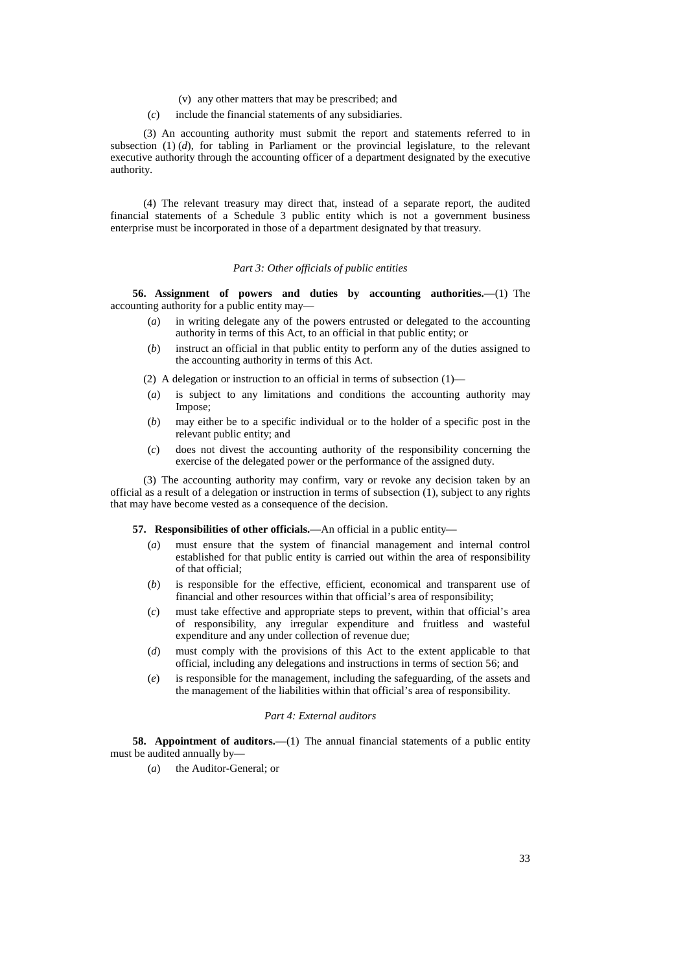- (v) any other matters that may be prescribed; and
- (*c*) include the financial statements of any subsidiaries.

(3) An accounting authority must submit the report and statements referred to in subsection  $(1)$   $(d)$ , for tabling in Parliament or the provincial legislature, to the relevant executive authority through the accounting officer of a department designated by the executive authority.

(4) The relevant treasury may direct that, instead of a separate report, the audited financial statements of a Schedule 3 public entity which is not a government business enterprise must be incorporated in those of a department designated by that treasury.

#### *Part 3: Other officials of public entities*

**56. Assignment of powers and duties by accounting authorities.**— (1) The accounting authority for a public entity may—

- (*a*) in writing delegate any of the powers entrusted or delegated to the accounting authority in terms of this Act, to an official in that public entity; or
- (*b*) instruct an official in that public entity to perform any of the duties assigned to the accounting authority in terms of this Act.

(2) A delegation or instruction to an official in terms of subsection (1)—

- (*a*) is subject to any limitations and conditions the accounting authority may Impose;
- (*b*) may either be to a specific individual or to the holder of a specific post in the relevant public entity; and
- (*c*) does not divest the accounting authority of the responsibility concerning the exercise of the delegated power or the performance of the assigned duty.

(3) The accounting authority may confirm, vary or revoke any decision taken by an official as a result of a delegation or instruction in terms of subsection (1), subject to any rights that may have become vested as a consequence of the decision.

**57. Responsibilities of other officials.**— An official in a public entity—

- (*a*) must ensure that the system of financial management and internal control established for that public entity is carried out within the area of responsibility of that official;
- (*b*) is responsible for the effective, efficient, economical and transparent use of financial and other resources within that official's area of responsibility;
- (*c*) must take effective and appropriate steps to prevent, within that official's area of responsibility, any irregular expenditure and fruitless and wasteful expenditure and any under collection of revenue due;
- (*d*) must comply with the provisions of this Act to the extent applicable to that official, including any delegations and instructions in terms of section 56; and
- (*e*) is responsible for the management, including the safeguarding, of the assets and the management of the liabilities within that official's area of responsibility.

#### *Part 4: External auditors*

**58. Appointment of auditors.**—(1) The annual financial statements of a public entity must be audited annually by—

(*a*) the Auditor-General; or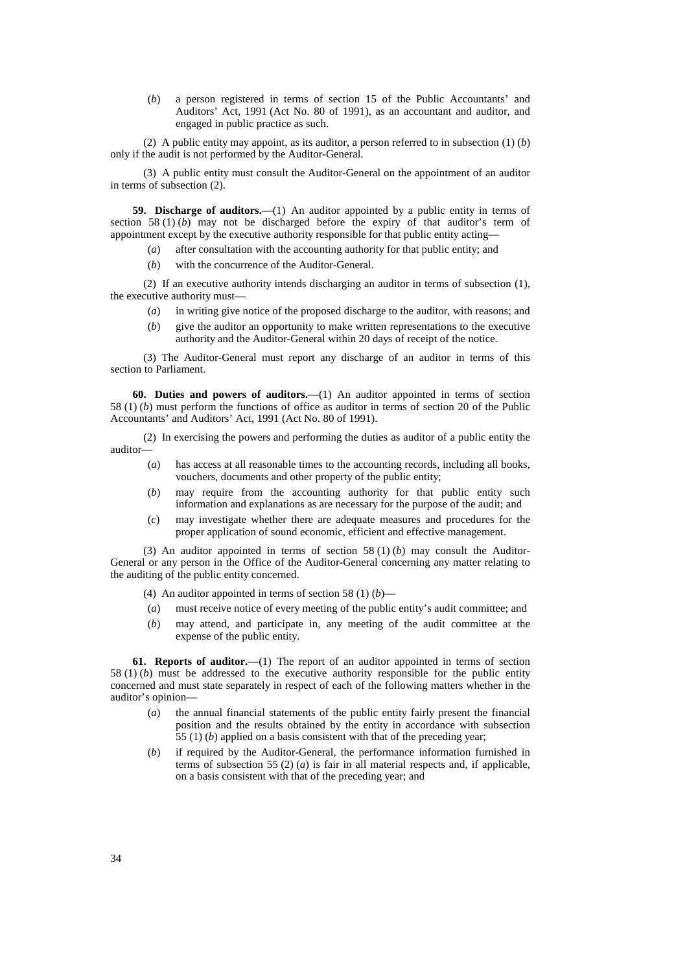(*b*) a person registered in terms of section 15 of the Public Accountants' and Auditors' Act, 1991 (Act No. 80 of 1991), as an accountant and auditor, and engaged in public practice as such.

(2) A public entity may appoint, as its auditor, a person referred to in subsection (1) (*b*) only if the audit is not performed by the Auditor-General.

(3) A public entity must consult the Auditor-General on the appointment of an auditor in terms of subsection (2).

**59. Discharge of auditors.**—(1) An auditor appointed by a public entity in terms of section 58 (1) (*b*) may not be discharged before the expiry of that auditor's term of appointment except by the executive authority responsible for that public entity acting—

- (*a*) after consultation with the accounting authority for that public entity; and
- (*b*) with the concurrence of the Auditor-General.

(2) If an executive authority intends discharging an auditor in terms of subsection (1), the executive authority must—

- (*a*) in writing give notice of the proposed discharge to the auditor, with reasons; and
- (*b*) give the auditor an opportunity to make written representations to the executive authority and the Auditor-General within 20 days of receipt of the notice.

(3) The Auditor-General must report any discharge of an auditor in terms of this section to Parliament.

**60. Duties and powers of auditors.**—(1) An auditor appointed in terms of section 58 (1) (*b*) must perform the functions of office as auditor in terms of section 20 of the Public Accountants' and Auditors' Act, 1991 (Act No. 80 of 1991).

(2) In exercising the powers and performing the duties as auditor of a public entity the auditor—

- (*a*) has access at all reasonable times to the accounting records, including all books, vouchers, documents and other property of the public entity;
- (*b*) may require from the accounting authority for that public entity such information and explanations as are necessary for the purpose of the audit; and
- (*c*) may investigate whether there are adequate measures and procedures for the proper application of sound economic, efficient and effective management.

(3) An auditor appointed in terms of section 58 (1) (*b*) may consult the Auditor-General or any person in the Office of the Auditor-General concerning any matter relating to the auditing of the public entity concerned.

(4) An auditor appointed in terms of section 58 (1) (*b*)—

- (*a*) must receive notice of every meeting of the public entity's audit committee; and
- (*b*) may attend, and participate in, any meeting of the audit committee at the expense of the public entity.

**61. Reports of auditor.**—(1) The report of an auditor appointed in terms of section 58 (1) (*b*) must be addressed to the executive authority responsible for the public entity concerned and must state separately in respect of each of the following matters whether in the auditor's opinion—

- (*a*) the annual financial statements of the public entity fairly present the financial position and the results obtained by the entity in accordance with subsection 55 (1) (*b*) applied on a basis consistent with that of the preceding year;
- (*b*) if required by the Auditor-General, the performance information furnished in terms of subsection 55 (2) (*a*) is fair in all material respects and, if applicable, on a basis consistent with that of the preceding year; and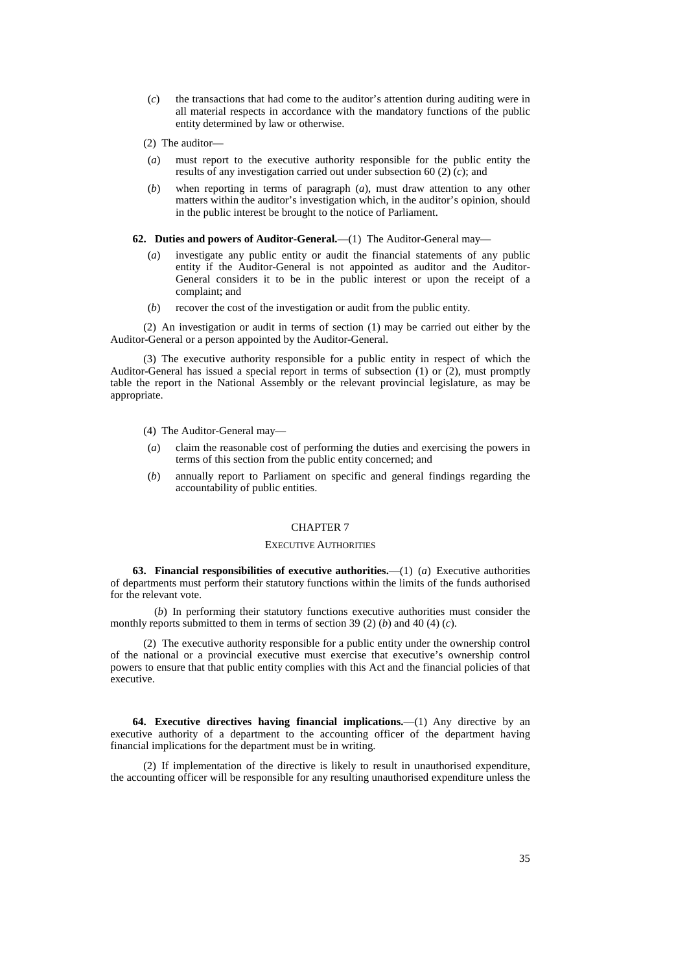- (*c*) the transactions that had come to the auditor's attention during auditing were in all material respects in accordance with the mandatory functions of the public entity determined by law or otherwise.
- (2) The auditor—
- (*a*) must report to the executive authority responsible for the public entity the results of any investigation carried out under subsection 60 (2)  $(c)$ ; and
- (*b*) when reporting in terms of paragraph (*a*), must draw attention to any other matters within the auditor's investigation which, in the auditor's opinion, should in the public interest be brought to the notice of Parliament.

#### **62. Duties and powers of Auditor-General.**—(1) The Auditor-General may—

- (*a*) investigate any public entity or audit the financial statements of any public entity if the Auditor-General is not appointed as auditor and the Auditor-General considers it to be in the public interest or upon the receipt of a complaint; and
- (*b*) recover the cost of the investigation or audit from the public entity.

(2) An investigation or audit in terms of section (1) may be carried out either by the Auditor-General or a person appointed by the Auditor-General.

(3) The executive authority responsible for a public entity in respect of which the Auditor-General has issued a special report in terms of subsection (1) or (2), must promptly table the report in the National Assembly or the relevant provincial legislature, as may be appropriate.

- (4) The Auditor-General may—
- (*a*) claim the reasonable cost of performing the duties and exercising the powers in terms of this section from the public entity concerned; and
- (*b*) annually report to Parliament on specific and general findings regarding the accountability of public entities.

## CHAPTER 7

#### EXECUTIVE AUTHORITIES

**63. Financial responsibilities of executive authorities.**—(1) (*a*) Executive authorities of departments must perform their statutory functions within the limits of the funds authorised for the relevant vote.

(*b*) In performing their statutory functions executive authorities must consider the monthly reports submitted to them in terms of section 39 (2) (*b*) and 40 (4) (*c*).

(2) The executive authority responsible for a public entity under the ownership control of the national or a provincial executive must exercise that executive's ownership control powers to ensure that that public entity complies with this Act and the financial policies of that executive.

**64. Executive directives having financial implications.**— (1) Any directive by an executive authority of a department to the accounting officer of the department having financial implications for the department must be in writing.

(2) If implementation of the directive is likely to result in unauthorised expenditure, the accounting officer will be responsible for any resulting unauthorised expenditure unless the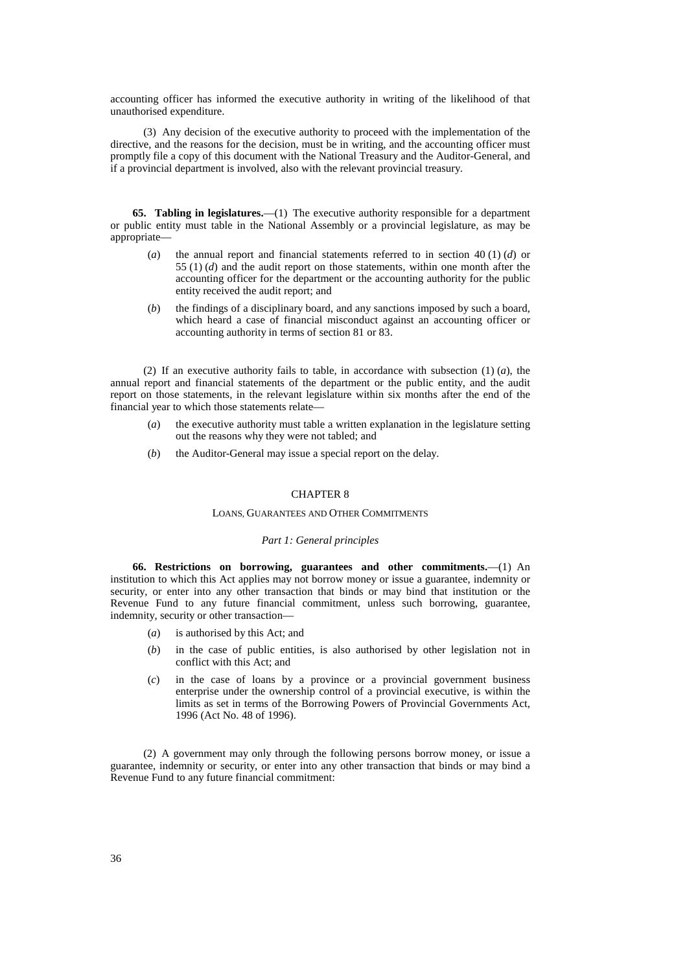accounting officer has informed the executive authority in writing of the likelihood of that unauthorised expenditure.

(3) Any decision of the executive authority to proceed with the implementation of the directive, and the reasons for the decision, must be in writing, and the accounting officer must promptly file a copy of this document with the National Treasury and the Auditor-General, and if a provincial department is involved, also with the relevant provincial treasury.

**65. Tabling in legislatures.**—(1) The executive authority responsible for a department or public entity must table in the National Assembly or a provincial legislature, as may be appropriate-

- (*a*) the annual report and financial statements referred to in section 40 (1) (*d*) or 55 (1) (*d*) and the audit report on those statements, within one month after the accounting officer for the department or the accounting authority for the public entity received the audit report; and
- (*b*) the findings of a disciplinary board, and any sanctions imposed by such a board, which heard a case of financial misconduct against an accounting officer or accounting authority in terms of section 81 or 83.

(2) If an executive authority fails to table, in accordance with subsection (1) (*a*), the annual report and financial statements of the department or the public entity, and the audit report on those statements, in the relevant legislature within six months after the end of the financial year to which those statements relate—

- (*a*) the executive authority must table a written explanation in the legislature setting out the reasons why they were not tabled; and
- (*b*) the Auditor-General may issue a special report on the delay.

## CHAPTER 8

#### LOANS, GUARANTEES AND OTHER COMMITMENTS

#### *Part 1: General principles*

**66. Restrictions on borrowing, guarantees and other commitments.**— (1) An institution to which this Act applies may not borrow money or issue a guarantee, indemnity or security, or enter into any other transaction that binds or may bind that institution or the Revenue Fund to any future financial commitment, unless such borrowing, guarantee, indemnity, security or other transaction—

- (*a*) is authorised by this Act; and
- (*b*) in the case of public entities, is also authorised by other legislation not in conflict with this Act; and
- (*c*) in the case of loans by a province or a provincial government business enterprise under the ownership control of a provincial executive, is within the limits as set in terms of the Borrowing Powers of Provincial Governments Act, 1996 (Act No. 48 of 1996).

(2) A government may only through the following persons borrow money, or issue a guarantee, indemnity or security, or enter into any other transaction that binds or may bind a Revenue Fund to any future financial commitment: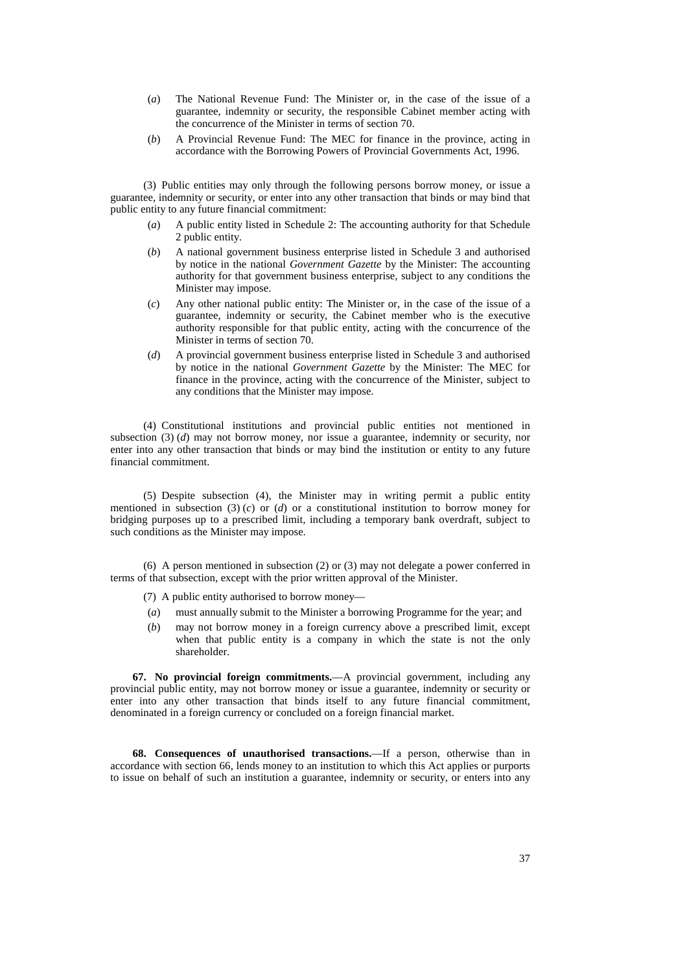- (*a*) The National Revenue Fund: The Minister or, in the case of the issue of a guarantee, indemnity or security, the responsible Cabinet member acting with the concurrence of the Minister in terms of section 70.
- (*b*) A Provincial Revenue Fund: The MEC for finance in the province, acting in accordance with the Borrowing Powers of Provincial Governments Act, 1996.

(3) Public entities may only through the following persons borrow money, or issue a guarantee, indemnity or security, or enter into any other transaction that binds or may bind that public entity to any future financial commitment:

- (*a*) A public entity listed in Schedule 2: The accounting authority for that Schedule 2 public entity.
- (*b*) A national government business enterprise listed in Schedule 3 and authorised by notice in the national *Government Gazette* by the Minister: The accounting authority for that government business enterprise, subject to any conditions the Minister may impose.
- (*c*) Any other national public entity: The Minister or, in the case of the issue of a guarantee, indemnity or security, the Cabinet member who is the executive authority responsible for that public entity, acting with the concurrence of the Minister in terms of section 70.
- (*d*) A provincial government business enterprise listed in Schedule 3 and authorised by notice in the national *Government Gazette* by the Minister: The MEC for finance in the province, acting with the concurrence of the Minister, subject to any conditions that the Minister may impose.

(4) Constitutional institutions and provincial public entities not mentioned in subsection (3) (*d*) may not borrow money, nor issue a guarantee, indemnity or security, nor enter into any other transaction that binds or may bind the institution or entity to any future financial commitment.

(5) Despite subsection (4), the Minister may in writing permit a public entity mentioned in subsection (3) (*c*) or (*d*) or a constitutional institution to borrow money for bridging purposes up to a prescribed limit, including a temporary bank overdraft, subject to such conditions as the Minister may impose.

(6) A person mentioned in subsection (2) or (3) may not delegate a power conferred in terms of that subsection, except with the prior written approval of the Minister.

- (7) A public entity authorised to borrow money—
- (*a*) must annually submit to the Minister a borrowing Programme for the year; and
- (*b*) may not borrow money in a foreign currency above a prescribed limit, except when that public entity is a company in which the state is not the only shareholder.

**67. No provincial foreign commitments.**— A provincial government, including any provincial public entity, may not borrow money or issue a guarantee, indemnity or security or enter into any other transaction that binds itself to any future financial commitment, denominated in a foreign currency or concluded on a foreign financial market.

**68. Consequences of unauthorised transactions.**— If a person, otherwise than in accordance with section 66, lends money to an institution to which this Act applies or purports to issue on behalf of such an institution a guarantee, indemnity or security, or enters into any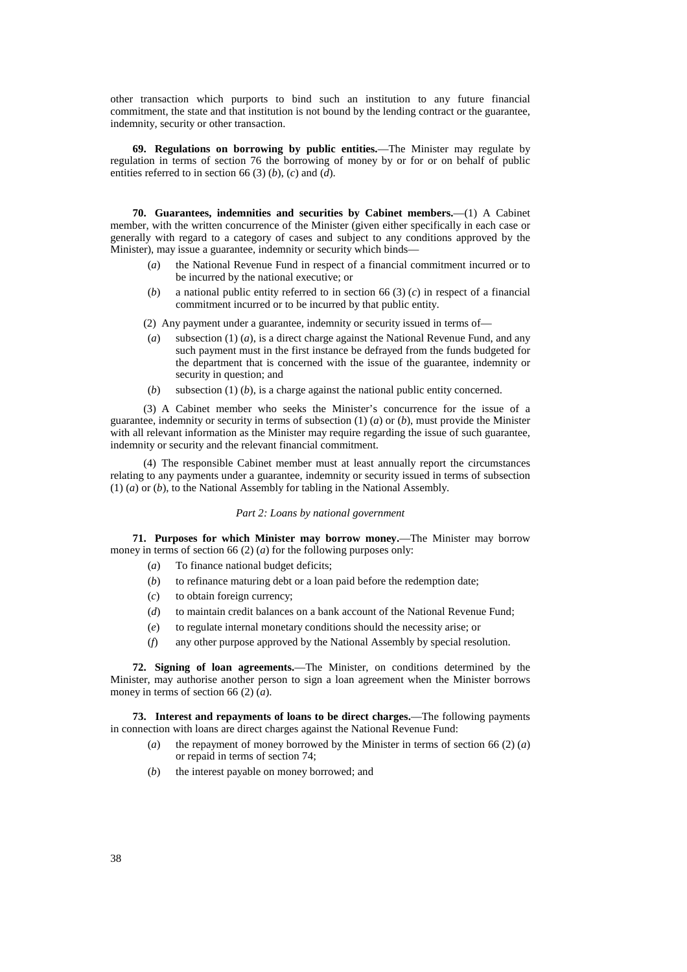other transaction which purports to bind such an institution to any future financial commitment, the state and that institution is not bound by the lending contract or the guarantee, indemnity, security or other transaction.

**69. Regulations on borrowing by public entities.**— The Minister may regulate by regulation in terms of section 76 the borrowing of money by or for or on behalf of public entities referred to in section 66 (3)  $(b)$ ,  $(c)$  and  $(d)$ .

**70. Guarantees, indemnities and securities by Cabinet members.**— (1) A Cabinet member, with the written concurrence of the Minister (given either specifically in each case or generally with regard to a category of cases and subject to any conditions approved by the Minister), may issue a guarantee, indemnity or security which binds—

- (*a*) the National Revenue Fund in respect of a financial commitment incurred or to be incurred by the national executive; or
- (*b*) a national public entity referred to in section 66 (3) (*c*) in respect of a financial commitment incurred or to be incurred by that public entity.
- (2) Any payment under a guarantee, indemnity or security issued in terms of—
- (*a*) subsection (1) (*a*), is a direct charge against the National Revenue Fund, and any such payment must in the first instance be defrayed from the funds budgeted for the department that is concerned with the issue of the guarantee, indemnity or security in question; and
- (*b*) subsection (1) (*b*), is a charge against the national public entity concerned.

(3) A Cabinet member who seeks the Minister's concurrence for the issue of a guarantee, indemnity or security in terms of subsection  $(1)$  (*a*) or (*b*), must provide the Minister with all relevant information as the Minister may require regarding the issue of such guarantee, indemnity or security and the relevant financial commitment.

(4) The responsible Cabinet member must at least annually report the circumstances relating to any payments under a guarantee, indemnity or security issued in terms of subsection (1) (*a*) or (*b*), to the National Assembly for tabling in the National Assembly.

#### *Part 2: Loans by national government*

**71. Purposes for which Minister may borrow money.**— The Minister may borrow money in terms of section 66 (2) (*a*) for the following purposes only:

- (*a*) To finance national budget deficits;
- (*b*) to refinance maturing debt or a loan paid before the redemption date;
- (*c*) to obtain foreign currency;
- (*d*) to maintain credit balances on a bank account of the National Revenue Fund;
- (*e*) to regulate internal monetary conditions should the necessity arise; or
- (*f*) any other purpose approved by the National Assembly by special resolution.

**72. Signing of loan agreements.**— The Minister, on conditions determined by the Minister, may authorise another person to sign a loan agreement when the Minister borrows money in terms of section 66 (2)  $\hat{a}$ ).

**73. Interest and repayments of loans to be direct charges.**— The following payments in connection with loans are direct charges against the National Revenue Fund:

- the repayment of money borrowed by the Minister in terms of section 66 (2)  $(a)$ or repaid in terms of section 74;
- (*b*) the interest payable on money borrowed; and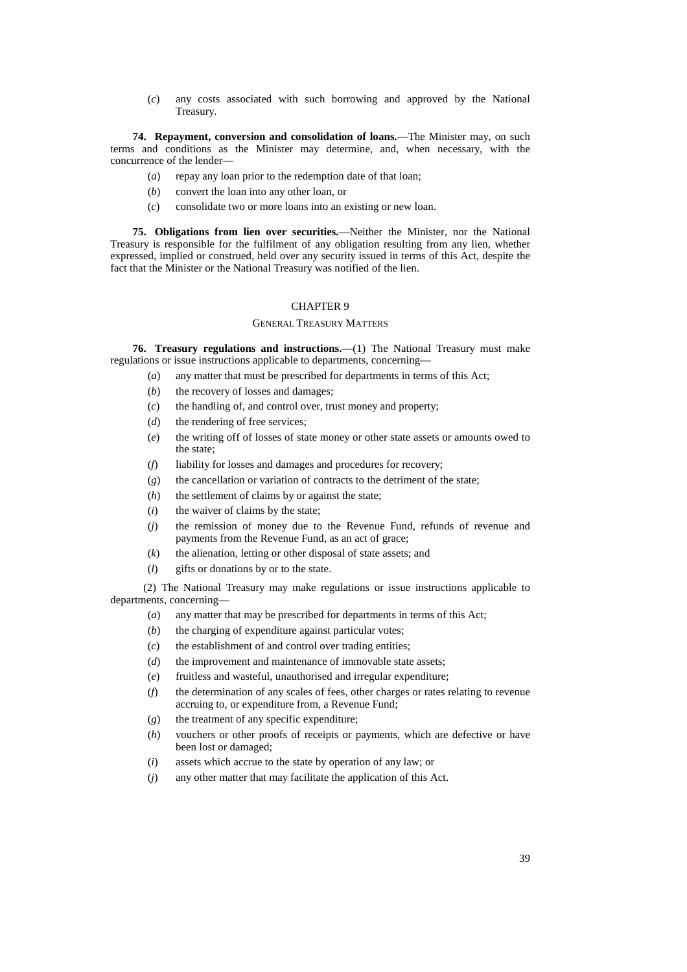(*c*) any costs associated with such borrowing and approved by the National Treasury.

**74. Repayment, conversion and consolidation of loans.**— The Minister may, on such terms and conditions as the Minister may determine, and, when necessary, with the concurrence of the lender—

- (*a*) repay any loan prior to the redemption date of that loan;
- (*b*) convert the loan into any other loan, or
- (*c*) consolidate two or more loans into an existing or new loan.

**75. Obligations from lien over securities.**— Neither the Minister, nor the National Treasury is responsible for the fulfilment of any obligation resulting from any lien, whether expressed, implied or construed, held over any security issued in terms of this Act, despite the fact that the Minister or the National Treasury was notified of the lien.

## CHAPTER 9

## GENERAL TREASURY MATTERS

**76. Treasury regulations and instructions.** (1) The National Treasury must make regulations or issue instructions applicable to departments, concerning—

- (*a*) any matter that must be prescribed for departments in terms of this Act;
- (*b*) the recovery of losses and damages;
- (*c*) the handling of, and control over, trust money and property;
- (*d*) the rendering of free services;
- (*e*) the writing off of losses of state money or other state assets or amounts owed to the state;
- (*f*) liability for losses and damages and procedures for recovery;
- (*g*) the cancellation or variation of contracts to the detriment of the state;
- (*h*) the settlement of claims by or against the state;
- (*i*) the waiver of claims by the state;
- (*j*) the remission of money due to the Revenue Fund, refunds of revenue and payments from the Revenue Fund, as an act of grace;
- (*k*) the alienation, letting or other disposal of state assets; and
- (*l*) gifts or donations by or to the state.

(2) The National Treasury may make regulations or issue instructions applicable to departments, concerning—

- (*a*) any matter that may be prescribed for departments in terms of this Act;
- (*b*) the charging of expenditure against particular votes;
- (*c*) the establishment of and control over trading entities;
- (*d*) the improvement and maintenance of immovable state assets;
- (*e*) fruitless and wasteful, unauthorised and irregular expenditure;
- (*f*) the determination of any scales of fees, other charges or rates relating to revenue accruing to, or expenditure from, a Revenue Fund;
- (*g*) the treatment of any specific expenditure;
- (*h*) vouchers or other proofs of receipts or payments, which are defective or have been lost or damaged;
- (*i*) assets which accrue to the state by operation of any law; or
- (*j*) any other matter that may facilitate the application of this Act.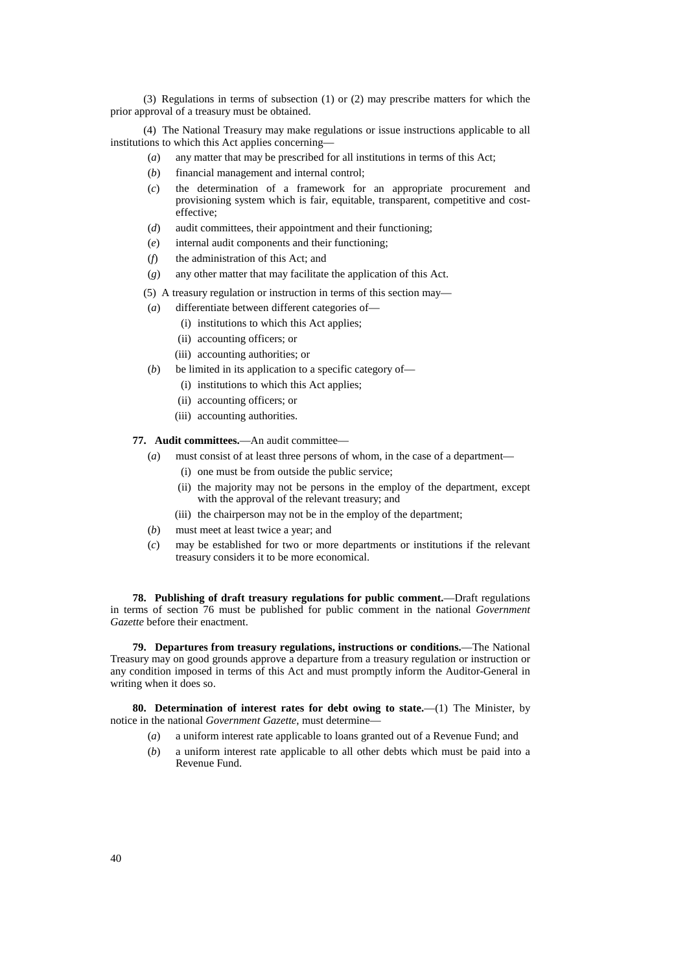(3) Regulations in terms of subsection (1) or (2) may prescribe matters for which the prior approval of a treasury must be obtained.

(4) The National Treasury may make regulations or issue instructions applicable to all institutions to which this Act applies concerning—

- (*a*) any matter that may be prescribed for all institutions in terms of this Act;
	- (*b*) financial management and internal control;
	- (*c*) the determination of a framework for an appropriate procurement and provisioning system which is fair, equitable, transparent, competitive and costeffective;
	- (*d*) audit committees, their appointment and their functioning;
	- (*e*) internal audit components and their functioning;
	- (*f*) the administration of this Act; and
	- (*g*) any other matter that may facilitate the application of this Act.
- (5) A treasury regulation or instruction in terms of this section may—
- (*a*) differentiate between different categories of—
	- (i) institutions to which this Act applies;
	- (ii) accounting officers; or
	- (iii) accounting authorities; or
- (*b*) be limited in its application to a specific category of—
	- (i) institutions to which this Act applies;
	- (ii) accounting officers; or
	- (iii) accounting authorities.

**77. Audit committees.**— An audit committee—

- (*a*) must consist of at least three persons of whom, in the case of a department—
	- (i) one must be from outside the public service;
	- (ii) the majority may not be persons in the employ of the department, except with the approval of the relevant treasury; and
	- (iii) the chairperson may not be in the employ of the department;
- (*b*) must meet at least twice a year; and
- (*c*) may be established for two or more departments or institutions if the relevant treasury considers it to be more economical.

**78. Publishing of draft treasury regulations for public comment.**— Draft regulations in terms of section 76 must be published for public comment in the national *Government Gazette* before their enactment.

**79. Departures from treasury regulations, instructions or conditions.**— The National Treasury may on good grounds approve a departure from a treasury regulation or instruction or any condition imposed in terms of this Act and must promptly inform the Auditor-General in writing when it does so.

**80. Determination of interest rates for debt owing to state.**— (1) The Minister, by notice in the national *Government Gazette*, must determine—

- (*a*) a uniform interest rate applicable to loans granted out of a Revenue Fund; and
- (*b*) a uniform interest rate applicable to all other debts which must be paid into a Revenue Fund.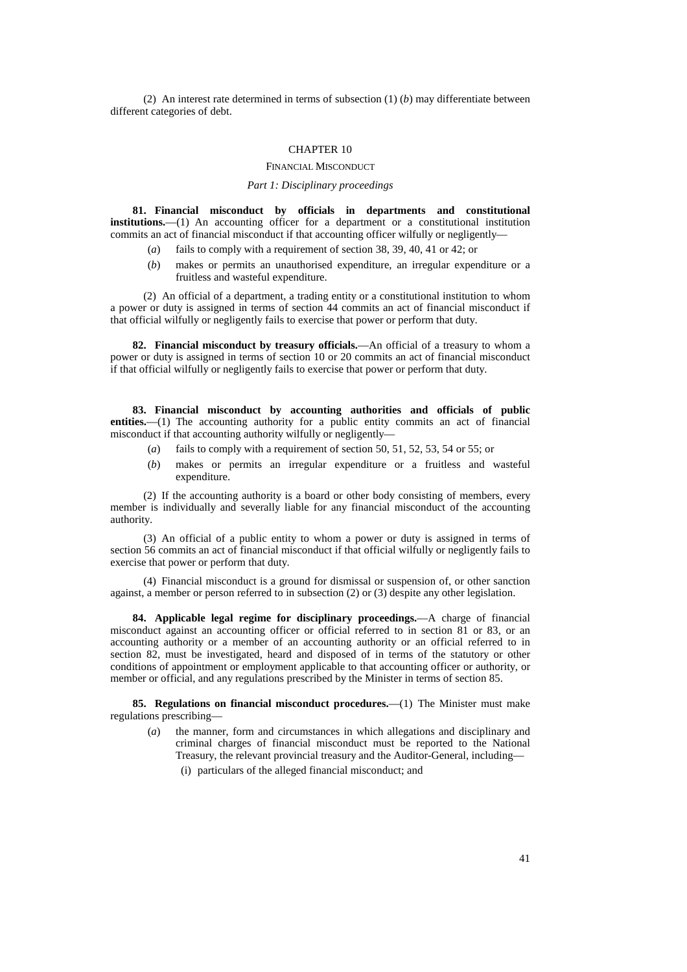(2) An interest rate determined in terms of subsection (1) (*b*) may differentiate between different categories of debt.

## CHAPTER 10

#### FINANCIAL MISCONDUCT

#### *Part 1: Disciplinary proceedings*

**81. Financial misconduct by officials in departments and constitutional institutions.**—(1) An accounting officer for a department or a constitutional institution commits an act of financial misconduct if that accounting officer wilfully or negligently—

- (*a*) fails to comply with a requirement of section 38, 39, 40, 41 or 42; or
- (*b*) makes or permits an unauthorised expenditure, an irregular expenditure or a fruitless and wasteful expenditure.

(2) An official of a department, a trading entity or a constitutional institution to whom a power or duty is assigned in terms of section 44 commits an act of financial misconduct if that official wilfully or negligently fails to exercise that power or perform that duty.

**82. Financial misconduct by treasury officials.**— An official of a treasury to whom a power or duty is assigned in terms of section 10 or 20 commits an act of financial misconduct if that official wilfully or negligently fails to exercise that power or perform that duty.

**83. Financial misconduct by accounting authorities and officials of public** entities.—(1) The accounting authority for a public entity commits an act of financial misconduct if that accounting authority wilfully or negligently—

- (*a*) fails to comply with a requirement of section 50, 51, 52, 53, 54 or 55; or
- (*b*) makes or permits an irregular expenditure or a fruitless and wasteful expenditure.

(2) If the accounting authority is a board or other body consisting of members, every member is individually and severally liable for any financial misconduct of the accounting authority.

(3) An official of a public entity to whom a power or duty is assigned in terms of section 56 commits an act of financial misconduct if that official wilfully or negligently fails to exercise that power or perform that duty.

(4) Financial misconduct is a ground for dismissal or suspension of, or other sanction against, a member or person referred to in subsection (2) or (3) despite any other legislation.

**84. Applicable legal regime for disciplinary proceedings.**— A charge of financial misconduct against an accounting officer or official referred to in section 81 or 83, or an accounting authority or a member of an accounting authority or an official referred to in section 82, must be investigated, heard and disposed of in terms of the statutory or other conditions of appointment or employment applicable to that accounting officer or authority, or member or official, and any regulations prescribed by the Minister in terms of section 85.

**85. Regulations on financial misconduct procedures.**— (1) The Minister must make regulations prescribing—

(*a*) the manner, form and circumstances in which allegations and disciplinary and criminal charges of financial misconduct must be reported to the National Treasury, the relevant provincial treasury and the Auditor-General, including—

(i) particulars of the alleged financial misconduct; and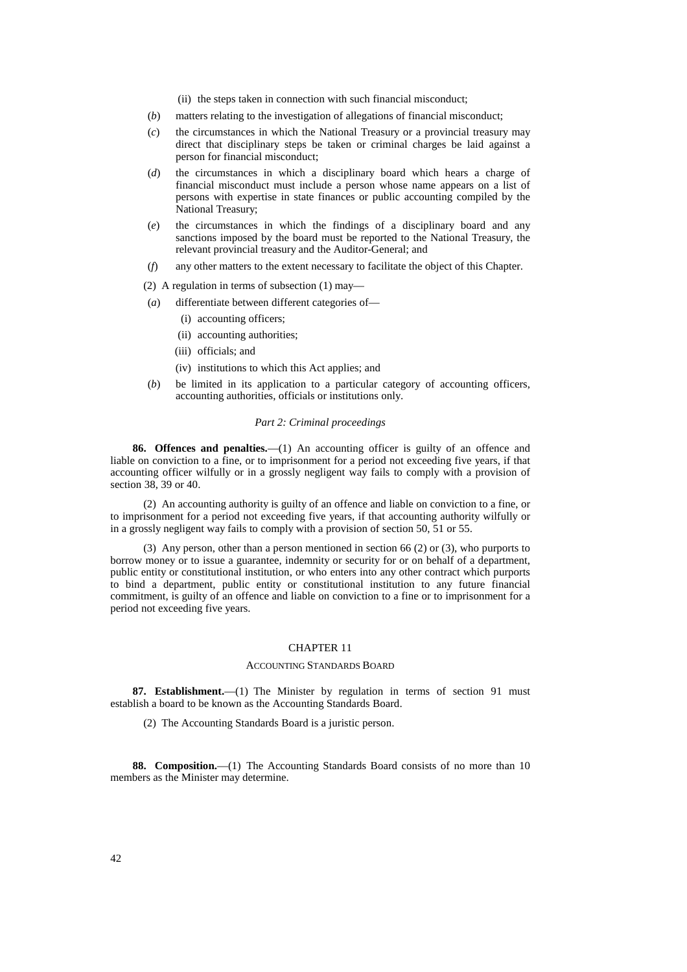- (ii) the steps taken in connection with such financial misconduct;
- (*b*) matters relating to the investigation of allegations of financial misconduct;
- (*c*) the circumstances in which the National Treasury or a provincial treasury may direct that disciplinary steps be taken or criminal charges be laid against a person for financial misconduct;
- (*d*) the circumstances in which a disciplinary board which hears a charge of financial misconduct must include a person whose name appears on a list of persons with expertise in state finances or public accounting compiled by the National Treasury;
- (*e*) the circumstances in which the findings of a disciplinary board and any sanctions imposed by the board must be reported to the National Treasury, the relevant provincial treasury and the Auditor-General; and
- (*f*) any other matters to the extent necessary to facilitate the object of this Chapter.
- (2) A regulation in terms of subsection (1) may—
- (*a*) differentiate between different categories of—
	- (i) accounting officers;
	- (ii) accounting authorities;
	- (iii) officials; and
	- (iv) institutions to which this Act applies; and
- (*b*) be limited in its application to a particular category of accounting officers, accounting authorities, officials or institutions only.

## *Part 2: Criminal proceedings*

**86. Offences and penalties.**—(1) An accounting officer is guilty of an offence and liable on conviction to a fine, or to imprisonment for a period not exceeding five years, if that accounting officer wilfully or in a grossly negligent way fails to comply with a provision of section 38, 39 or 40.

(2) An accounting authority is guilty of an offence and liable on conviction to a fine, or to imprisonment for a period not exceeding five years, if that accounting authority wilfully or in a grossly negligent way fails to comply with a provision of section 50, 51 or 55.

(3) Any person, other than a person mentioned in section 66 (2) or (3), who purports to borrow money or to issue a guarantee, indemnity or security for or on behalf of a department, public entity or constitutional institution, or who enters into any other contract which purports to bind a department, public entity or constitutional institution to any future financial commitment, is guilty of an offence and liable on conviction to a fine or to imprisonment for a period not exceeding five years.

#### CHAPTER 11

## ACCOUNTING STANDARDS BOARD

87. Establishment.—(1) The Minister by regulation in terms of section 91 must establish a board to be known as the Accounting Standards Board.

(2) The Accounting Standards Board is a juristic person.

**88. Composition.**—(1) The Accounting Standards Board consists of no more than 10 members as the Minister may determine.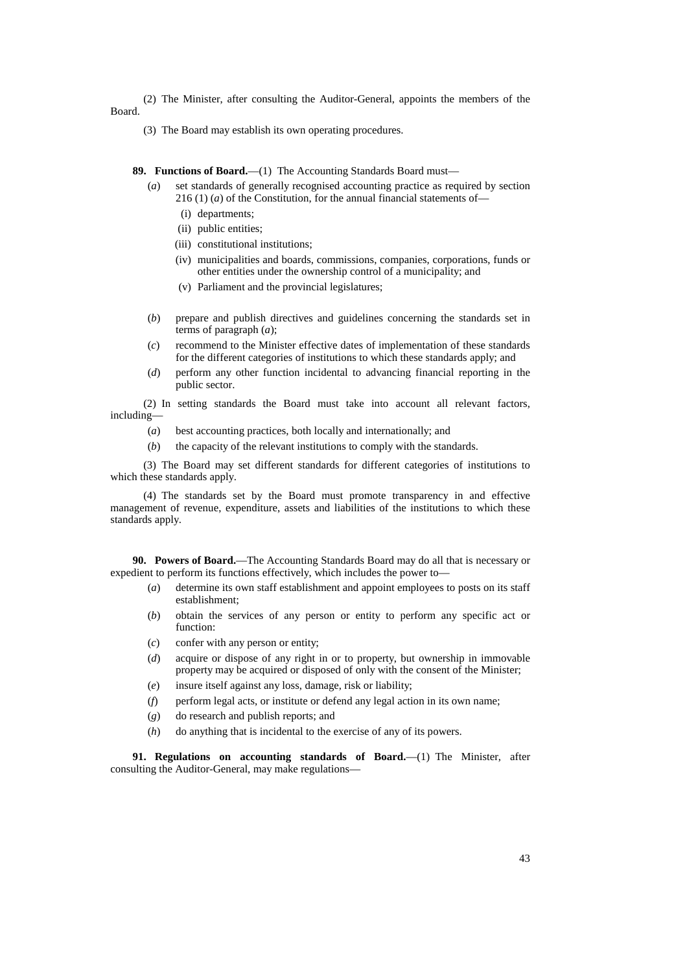(2) The Minister, after consulting the Auditor-General, appoints the members of the Board.

(3) The Board may establish its own operating procedures.

**89. Functions of Board.**—(1) The Accounting Standards Board must—

- (*a*) set standards of generally recognised accounting practice as required by section 216 (1) (*a*) of the Constitution, for the annual financial statements of-
	- (i) departments;
	- (ii) public entities;
	- (iii) constitutional institutions;
	- (iv) municipalities and boards, commissions, companies, corporations, funds or other entities under the ownership control of a municipality; and
	- (v) Parliament and the provincial legislatures;
- (*b*) prepare and publish directives and guidelines concerning the standards set in terms of paragraph (*a*);
- (*c*) recommend to the Minister effective dates of implementation of these standards for the different categories of institutions to which these standards apply; and
- (*d*) perform any other function incidental to advancing financial reporting in the public sector.

(2) In setting standards the Board must take into account all relevant factors, including—

- (*a*) best accounting practices, both locally and internationally; and
- (*b*) the capacity of the relevant institutions to comply with the standards.

(3) The Board may set different standards for different categories of institutions to which these standards apply.

(4) The standards set by the Board must promote transparency in and effective management of revenue, expenditure, assets and liabilities of the institutions to which these standards apply.

**90. Powers of Board.**— The Accounting Standards Board may do all that is necessary or expedient to perform its functions effectively, which includes the power to—

- (*a*) determine its own staff establishment and appoint employees to posts on its staff establishment;
- (*b*) obtain the services of any person or entity to perform any specific act or function:
- (*c*) confer with any person or entity;
- (*d*) acquire or dispose of any right in or to property, but ownership in immovable property may be acquired or disposed of only with the consent of the Minister;
- (*e*) insure itself against any loss, damage, risk or liability;
- (*f*) perform legal acts, or institute or defend any legal action in its own name;
- (*g*) do research and publish reports; and
- (*h*) do anything that is incidental to the exercise of any of its powers.

**91. Regulations on accounting standards of Board.**—(1) The Minister, after consulting the Auditor-General, may make regulations—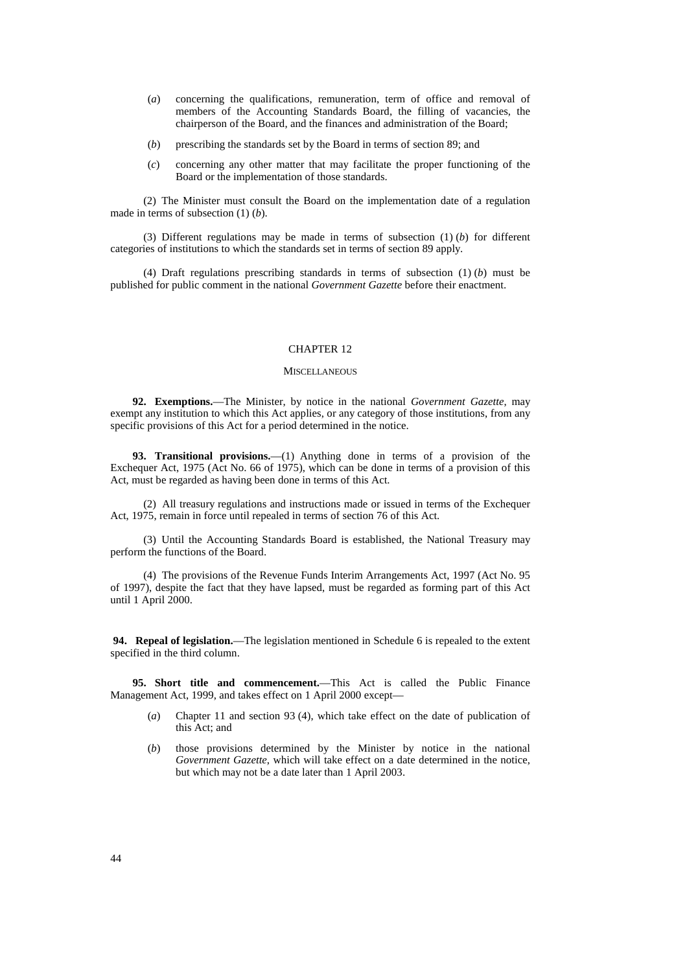- (*a*) concerning the qualifications, remuneration, term of office and removal of members of the Accounting Standards Board, the filling of vacancies, the chairperson of the Board, and the finances and administration of the Board;
- (*b*) prescribing the standards set by the Board in terms of section 89; and
- (*c*) concerning any other matter that may facilitate the proper functioning of the Board or the implementation of those standards.

(2) The Minister must consult the Board on the implementation date of a regulation made in terms of subsection (1) (*b*).

(3) Different regulations may be made in terms of subsection (1) (*b*) for different categories of institutions to which the standards set in terms of section 89 apply.

(4) Draft regulations prescribing standards in terms of subsection (1) (*b*) must be published for public comment in the national *Government Gazette* before their enactment.

## CHAPTER 12

#### **MISCELLANEOUS**

**92. Exemptions.**— The Minister, by notice in the national *Government Gazette*, may exempt any institution to which this Act applies, or any category of those institutions, from any specific provisions of this Act for a period determined in the notice.

**93. Transitional provisions.**—(1) Anything done in terms of a provision of the Exchequer Act, 1975 (Act No. 66 of 1975), which can be done in terms of a provision of this Act, must be regarded as having been done in terms of this Act.

(2) All treasury regulations and instructions made or issued in terms of the Exchequer Act, 1975, remain in force until repealed in terms of section 76 of this Act.

(3) Until the Accounting Standards Board is established, the National Treasury may perform the functions of the Board.

(4) The provisions of the Revenue Funds Interim Arrangements Act, 1997 (Act No. 95 of 1997), despite the fact that they have lapsed, must be regarded as forming part of this Act until 1 April 2000.

 **94. Repeal of legislation.**— The legislation mentioned in Schedule 6 is repealed to the extent specified in the third column.

**95. Short title and commencement.**— This Act is called the Public Finance Management Act, 1999, and takes effect on 1 April 2000 except—

- (*a*) Chapter 11 and section 93 (4), which take effect on the date of publication of this Act; and
- (*b*) those provisions determined by the Minister by notice in the national *Government Gazette*, which will take effect on a date determined in the notice, but which may not be a date later than 1 April 2003.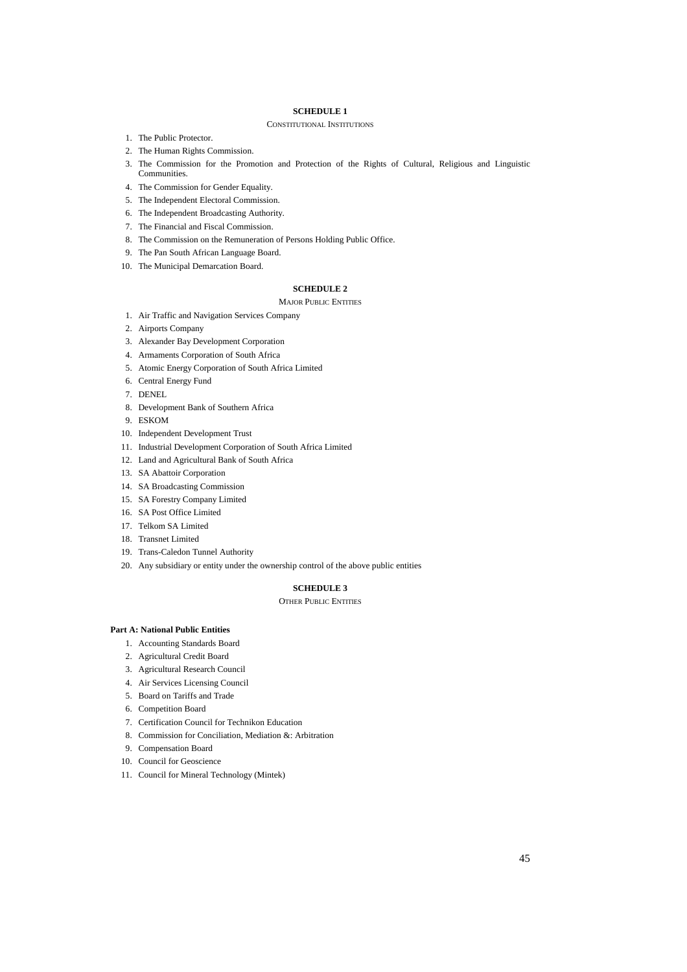## **SCHEDULE 1**

#### CONSTITUTIONAL INSTITUTIONS

- 1. The Public Protector.
- 2. The Human Rights Commission.
- 3. The Commission for the Promotion and Protection of the Rights of Cultural, Religious and Linguistic **Communities**
- 4. The Commission for Gender Equality.
- 5. The Independent Electoral Commission.
- 6. The Independent Broadcasting Authority.
- 7. The Financial and Fiscal Commission.
- 8. The Commission on the Remuneration of Persons Holding Public Office.
- 9. The Pan South African Language Board.
- 10. The Municipal Demarcation Board.

## **SCHEDULE 2**

#### MAJOR PUBLIC ENTITIES

- 1. Air Traffic and Navigation Services Company
- 2. Airports Company
- 3. Alexander Bay Development Corporation
- 4. Armaments Corporation of South Africa
- 5. Atomic Energy Corporation of South Africa Limited
- 6. Central Energy Fund
- 7. DENEL
- 8. Development Bank of Southern Africa
- 9. ESKOM
- 10. Independent Development Trust
- 11. Industrial Development Corporation of South Africa Limited
- 12. Land and Agricultural Bank of South Africa
- 13. SA Abattoir Corporation
- 14. SA Broadcasting Commission
- 15. SA Forestry Company Limited
- 16. SA Post Office Limited
- 17. Telkom SA Limited
- 18. Transnet Limited
- 19. Trans-Caledon Tunnel Authority
- 20. Any subsidiary or entity under the ownership control of the above public entities

## **SCHEDULE 3**

#### OTHER PUBLIC ENTITIES

#### **Part A: National Public Entities**

- 1. Accounting Standards Board
- 2. Agricultural Credit Board
- 3. Agricultural Research Council
- 4. Air Services Licensing Council
- 5. Board on Tariffs and Trade
- 6. Competition Board
- 7. Certification Council for Technikon Education
- 8. Commission for Conciliation, Mediation &: Arbitration
- 9. Compensation Board
- 10. Council for Geoscience
- 11. Council for Mineral Technology (Mintek)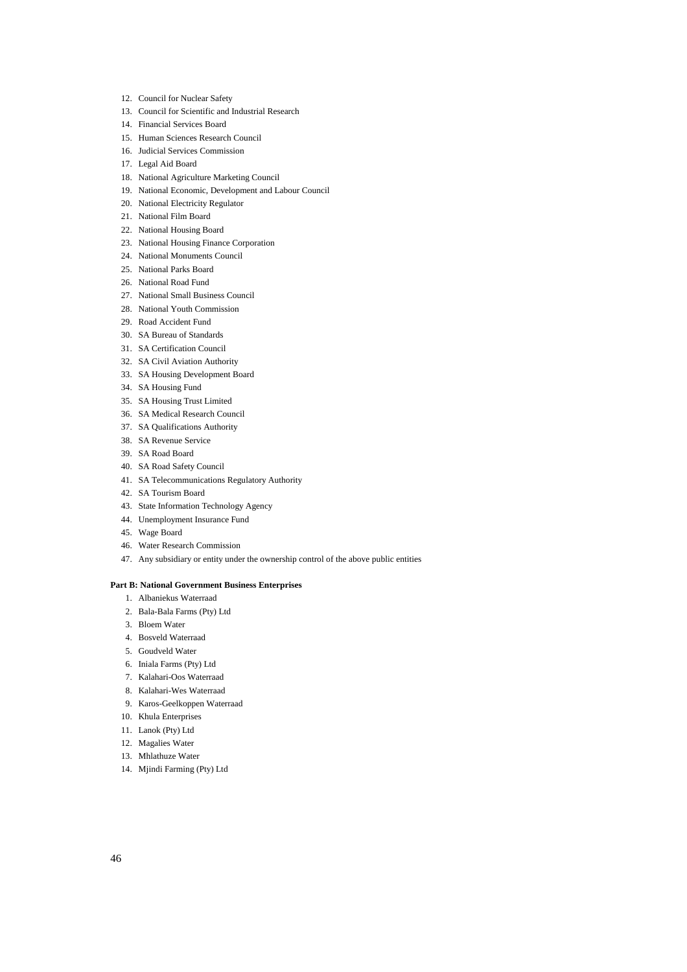- 12. Council for Nuclear Safety
- 13. Council for Scientific and Industrial Research
- 14. Financial Services Board
- 15. Human Sciences Research Council
- 16. Judicial Services Commission
- 17. Legal Aid Board
- 18. National Agriculture Marketing Council
- 19. National Economic, Development and Labour Council
- 20. National Electricity Regulator
- 21. National Film Board
- 22. National Housing Board
- 23. National Housing Finance Corporation
- 24. National Monuments Council
- 25. National Parks Board
- 26. National Road Fund
- 27. National Small Business Council
- 28. National Youth Commission
- 29. Road Accident Fund
- 30. SA Bureau of Standards
- 31. SA Certification Council
- 32. SA Civil Aviation Authority
- 33. SA Housing Development Board
- 34. SA Housing Fund
- 35. SA Housing Trust Limited
- 36. SA Medical Research Council
- 37. SA Qualifications Authority
- 38. SA Revenue Service
- 39. SA Road Board
- 40. SA Road Safety Council
- 41. SA Telecommunications Regulatory Authority
- 42. SA Tourism Board
- 43. State Information Technology Agency
- 44. Unemployment Insurance Fund
- 45. Wage Board
- 46. Water Research Commission
- 47. Any subsidiary or entity under the ownership control of the above public entities

#### **Part B: National Government Business Enterprises**

- 1. Albaniekus Waterraad
- 2. Bala-Bala Farms (Pty) Ltd
- 3. Bloem Water
- 4. Bosveld Waterraad
- 5. Goudveld Water
- 6. Iniala Farms (Pty) Ltd
- 7. Kalahari-Oos Waterraad
- 8. Kalahari-Wes Waterraad
- 9. Karos-Geelkoppen Waterraad
- 10. Khula Enterprises
- 11. Lanok (Pty) Ltd
- 12. Magalies Water
- 13. Mhlathuze Water
- 14. Mjindi Farming (Pty) Ltd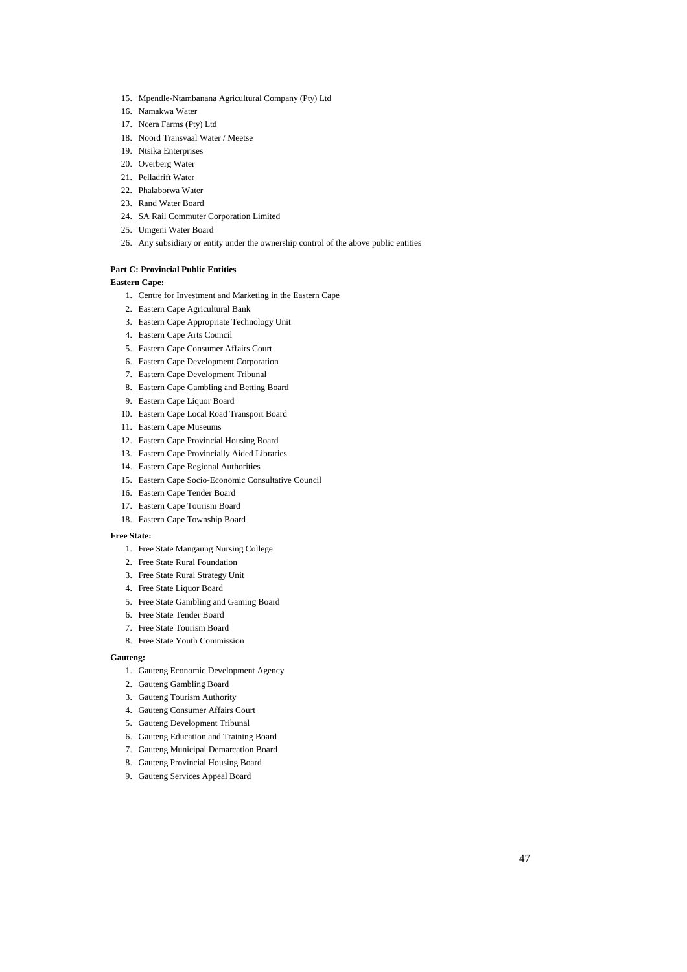- 15. Mpendle-Ntambanana Agricultural Company (Pty) Ltd
- 16. Namakwa Water
- 17. Ncera Farms (Pty) Ltd
- 18. Noord Transvaal Water / Meetse
- 19. Ntsika Enterprises
- 20. Overberg Water
- 21. Pelladrift Water
- 22. Phalaborwa Water
- 23. Rand Water Board
- 24. SA Rail Commuter Corporation Limited
- 25. Umgeni Water Board
- 26. Any subsidiary or entity under the ownership control of the above public entities

#### **Part C: Provincial Public Entities**

#### **Eastern Cape:**

- 1. Centre for Investment and Marketing in the Eastern Cape
- 2. Eastern Cape Agricultural Bank
- 3. Eastern Cape Appropriate Technology Unit
- 4. Eastern Cape Arts Council
- 5. Eastern Cape Consumer Affairs Court
- 6. Eastern Cape Development Corporation
- 7. Eastern Cape Development Tribunal
- 8. Eastern Cape Gambling and Betting Board
- 9. Eastern Cape Liquor Board
- 10. Eastern Cape Local Road Transport Board
- 11. Eastern Cape Museums
- 12. Eastern Cape Provincial Housing Board
- 13. Eastern Cape Provincially Aided Libraries
- 14. Eastern Cape Regional Authorities
- 15. Eastern Cape Socio-Economic Consultative Council
- 16. Eastern Cape Tender Board
- 17. Eastern Cape Tourism Board
- 18. Eastern Cape Township Board

#### **Free State:**

- 1. Free State Mangaung Nursing College
- 2. Free State Rural Foundation
- 3. Free State Rural Strategy Unit
- 4. Free State Liquor Board
- 5. Free State Gambling and Gaming Board
- 6. Free State Tender Board
- 7. Free State Tourism Board
- 8. Free State Youth Commission

#### **Gauteng:**

- 1. Gauteng Economic Development Agency
- 2. Gauteng Gambling Board
- 3. Gauteng Tourism Authority
- 4. Gauteng Consumer Affairs Court
- 5. Gauteng Development Tribunal
- 6. Gauteng Education and Training Board
- 7. Gauteng Municipal Demarcation Board
- 8. Gauteng Provincial Housing Board
- 9. Gauteng Services Appeal Board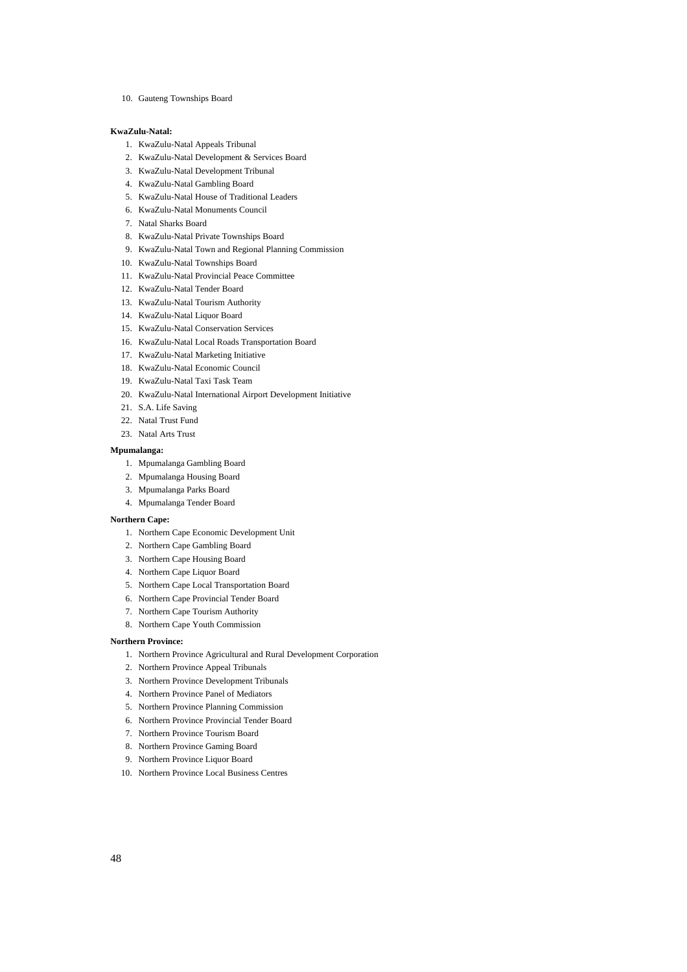10. Gauteng Townships Board

#### **KwaZulu-Natal:**

- 1. KwaZulu-Natal Appeals Tribunal
- 2. KwaZulu-Natal Development & Services Board
- 3. KwaZulu-Natal Development Tribunal
- 4. KwaZulu-Natal Gambling Board
- 5. KwaZulu-Natal House of Traditional Leaders
- 6. KwaZulu-Natal Monuments Council
- 7. Natal Sharks Board
- 8. KwaZulu-Natal Private Townships Board
- 9. KwaZulu-Natal Town and Regional Planning Commission
- 10. KwaZulu-Natal Townships Board
- 11. KwaZulu-Natal Provincial Peace Committee
- 12. KwaZulu-Natal Tender Board
- 13. KwaZulu-Natal Tourism Authority
- 14. KwaZulu-Natal Liquor Board
- 15. KwaZulu-Natal Conservation Services
- 16. KwaZulu-Natal Local Roads Transportation Board
- 17. KwaZulu-Natal Marketing Initiative
- 18. KwaZulu-Natal Economic Council
- 19. KwaZulu-Natal Taxi Task Team
- 20. KwaZulu-Natal International Airport Development Initiative
- 21. S.A. Life Saving
- 22. Natal Trust Fund
- 23. Natal Arts Trust

## **Mpumalanga:**

- 1. Mpumalanga Gambling Board
- 2. Mpumalanga Housing Board
- 3. Mpumalanga Parks Board
- 4. Mpumalanga Tender Board

#### **Northern Cape:**

- 1. Northern Cape Economic Development Unit
- 2. Northern Cape Gambling Board
- 3. Northern Cape Housing Board
- 4. Northern Cape Liquor Board
- 5. Northern Cape Local Transportation Board
- 6. Northern Cape Provincial Tender Board
- 7. Northern Cape Tourism Authority
- 8. Northern Cape Youth Commission

#### **Northern Province:**

- 1. Northern Province Agricultural and Rural Development Corporation
- 2. Northern Province Appeal Tribunals
- 3. Northern Province Development Tribunals
- 4. Northern Province Panel of Mediators
- 5. Northern Province Planning Commission
- 6. Northern Province Provincial Tender Board
- 7. Northern Province Tourism Board
- 8. Northern Province Gaming Board
- 9. Northern Province Liquor Board
- 10. Northern Province Local Business Centres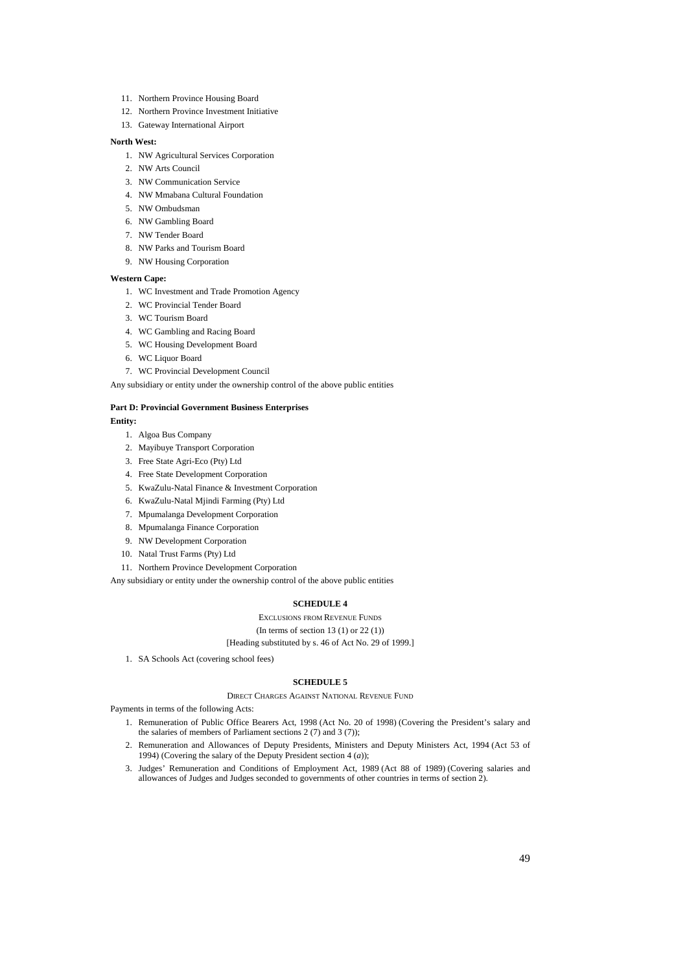- 11. Northern Province Housing Board
- 12. Northern Province Investment Initiative
- 13. Gateway International Airport

#### **North West:**

- 1. NW Agricultural Services Corporation
- 2. NW Arts Council
- 3. NW Communication Service
- 4. NW Mmabana Cultural Foundation
- 5. NW Ombudsman
- 6. NW Gambling Board
- 7. NW Tender Board
- 8. NW Parks and Tourism Board
- 9. NW Housing Corporation

#### **Western Cape:**

- 1. WC Investment and Trade Promotion Agency
- 2. WC Provincial Tender Board
- 3. WC Tourism Board
- 4. WC Gambling and Racing Board
- 5. WC Housing Development Board
- 6. WC Liquor Board
- 7. WC Provincial Development Council

Any subsidiary or entity under the ownership control of the above public entities

#### **Part D: Provincial Government Business Enterprises Entity:**

- 1. Algoa Bus Company
- 2. Mayibuye Transport Corporation
- 3. Free State Agri-Eco (Pty) Ltd
- 4. Free State Development Corporation
- 5. KwaZulu-Natal Finance & Investment Corporation
- 6. KwaZulu-Natal Mjindi Farming (Pty) Ltd
- 7. Mpumalanga Development Corporation
- 8. Mpumalanga Finance Corporation
- 9. NW Development Corporation
- 10. Natal Trust Farms (Pty) Ltd
- 11. Northern Province Development Corporation

Any subsidiary or entity under the ownership control of the above public entities

#### **SCHEDULE 4**

EXCLUSIONS FROM REVENUE FUNDS

(In terms of section 13 (1) or 22 (1))

[Heading substituted by s. 46 of Act No. 29 of 1999.]

1. SA Schools Act (covering school fees)

#### **SCHEDULE 5**

#### DIRECT CHARGES AGAINST NATIONAL REVENUE FUND

Payments in terms of the following Acts:

- 1. Remuneration of Public Office Bearers Act, 1998 (Act No. 20 of 1998) (Covering the President's salary and the salaries of members of Parliament sections  $2(7)$  and  $3(7)$ ;
- 2. Remuneration and Allowances of Deputy Presidents, Ministers and Deputy Ministers Act, 1994 (Act 53 of 1994) (Covering the salary of the Deputy President section 4 (*a*));
- 3. Judges' Remuneration and Conditions of Employment Act, 1989 (Act 88 of 1989) (Covering salaries and allowances of Judges and Judges seconded to governments of other countries in terms of section 2).